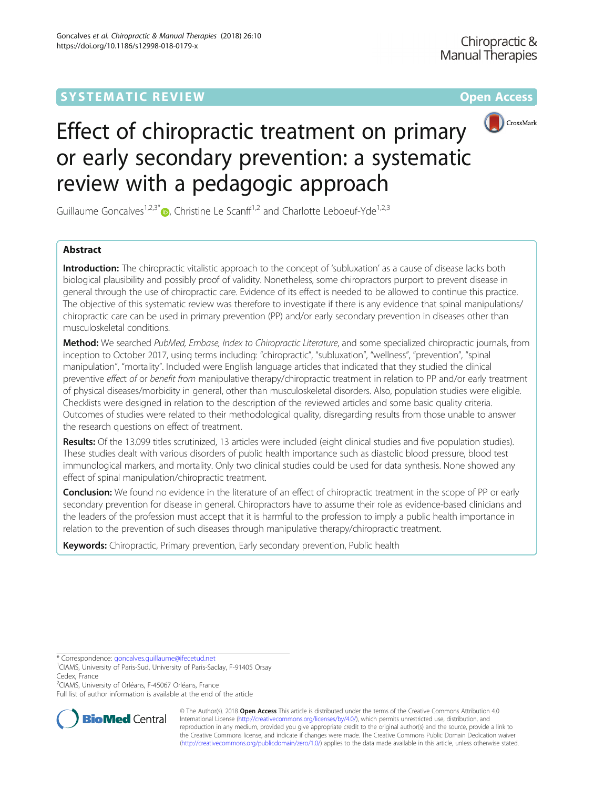

# Effect of chiropractic treatment on primary or early secondary prevention: a systematic review with a pedagogic approach

Guillaume Goncalves<sup>1,2,3[\\*](http://orcid.org/0000-0002-1992-1876)</sup> $\bullet$ , Christine Le Scanff<sup>1,2</sup> and Charlotte Leboeuf-Yde<sup>1,2,3</sup>

# Abstract

Introduction: The chiropractic vitalistic approach to the concept of 'subluxation' as a cause of disease lacks both biological plausibility and possibly proof of validity. Nonetheless, some chiropractors purport to prevent disease in general through the use of chiropractic care. Evidence of its effect is needed to be allowed to continue this practice. The objective of this systematic review was therefore to investigate if there is any evidence that spinal manipulations/ chiropractic care can be used in primary prevention (PP) and/or early secondary prevention in diseases other than musculoskeletal conditions.

Method: We searched PubMed, Embase, Index to Chiropractic Literature, and some specialized chiropractic journals, from inception to October 2017, using terms including: "chiropractic", "subluxation", "wellness", "prevention", "spinal manipulation", "mortality". Included were English language articles that indicated that they studied the clinical preventive effect of or benefit from manipulative therapy/chiropractic treatment in relation to PP and/or early treatment of physical diseases/morbidity in general, other than musculoskeletal disorders. Also, population studies were eligible. Checklists were designed in relation to the description of the reviewed articles and some basic quality criteria. Outcomes of studies were related to their methodological quality, disregarding results from those unable to answer the research questions on effect of treatment.

Results: Of the 13.099 titles scrutinized, 13 articles were included (eight clinical studies and five population studies). These studies dealt with various disorders of public health importance such as diastolic blood pressure, blood test immunological markers, and mortality. Only two clinical studies could be used for data synthesis. None showed any effect of spinal manipulation/chiropractic treatment.

Conclusion: We found no evidence in the literature of an effect of chiropractic treatment in the scope of PP or early secondary prevention for disease in general. Chiropractors have to assume their role as evidence-based clinicians and the leaders of the profession must accept that it is harmful to the profession to imply a public health importance in relation to the prevention of such diseases through manipulative therapy/chiropractic treatment.

Keywords: Chiropractic, Primary prevention, Early secondary prevention, Public health

\* Correspondence: [goncalves.guillaume@ifecetud.net](mailto:goncalves.guillaume@ifecetud.net) <sup>1</sup>

<sup>2</sup>CIAMS, University of Orléans, F-45067 Orléans, France

Full list of author information is available at the end of the article



© The Author(s). 2018 Open Access This article is distributed under the terms of the Creative Commons Attribution 4.0 International License [\(http://creativecommons.org/licenses/by/4.0/](http://creativecommons.org/licenses/by/4.0/)), which permits unrestricted use, distribution, and reproduction in any medium, provided you give appropriate credit to the original author(s) and the source, provide a link to the Creative Commons license, and indicate if changes were made. The Creative Commons Public Domain Dedication waiver [\(http://creativecommons.org/publicdomain/zero/1.0/](http://creativecommons.org/publicdomain/zero/1.0/)) applies to the data made available in this article, unless otherwise stated.

<sup>&</sup>lt;sup>1</sup>CIAMS, University of Paris-Sud, University of Paris-Saclay, F-91405 Orsay Cedex, France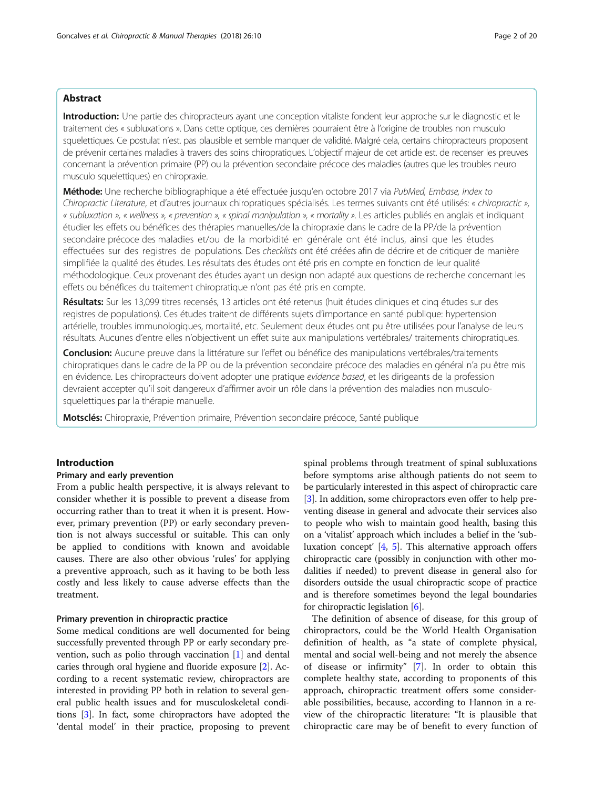## Abstract

Introduction: Une partie des chiropracteurs ayant une conception vitaliste fondent leur approche sur le diagnostic et le traitement des « subluxations ». Dans cette optique, ces dernières pourraient être à l'origine de troubles non musculo squelettiques. Ce postulat n'est. pas plausible et semble manquer de validité. Malgré cela, certains chiropracteurs proposent de prévenir certaines maladies à travers des soins chiropratiques. L'objectif majeur de cet article est. de recenser les preuves concernant la prévention primaire (PP) ou la prévention secondaire précoce des maladies (autres que les troubles neuro musculo squelettiques) en chiropraxie.

Méthode: Une recherche bibliographique a été effectuée jusqu'en octobre 2017 via PubMed, Embase, Index to Chiropractic Literature, et d'autres journaux chiropratiques spécialisés. Les termes suivants ont été utilisés: « chiropractic », « subluxation », « wellness », « prevention », « spinal manipulation », « mortality ». Les articles publiés en anglais et indiquant étudier les effets ou bénéfices des thérapies manuelles/de la chiropraxie dans le cadre de la PP/de la prévention secondaire précoce des maladies et/ou de la morbidité en générale ont été inclus, ainsi que les études effectuées sur des registres de populations. Des checklists ont été créées afin de décrire et de critiquer de manière simplifiée la qualité des études. Les résultats des études ont été pris en compte en fonction de leur qualité méthodologique. Ceux provenant des études ayant un design non adapté aux questions de recherche concernant les effets ou bénéfices du traitement chiropratique n'ont pas été pris en compte.

Résultats: Sur les 13,099 titres recensés, 13 articles ont été retenus (huit études cliniques et cinq études sur des registres de populations). Ces études traitent de différents sujets d'importance en santé publique: hypertension artérielle, troubles immunologiques, mortalité, etc. Seulement deux études ont pu être utilisées pour l'analyse de leurs résultats. Aucunes d'entre elles n'objectivent un effet suite aux manipulations vertébrales/ traitements chiropratiques.

Conclusion: Aucune preuve dans la littérature sur l'effet ou bénéfice des manipulations vertébrales/traitements chiropratiques dans le cadre de la PP ou de la prévention secondaire précoce des maladies en général n'a pu être mis en évidence. Les chiropracteurs doivent adopter une pratique evidence based, et les dirigeants de la profession devraient accepter qu'il soit dangereux d'affirmer avoir un rôle dans la prévention des maladies non musculosquelettiques par la thérapie manuelle.

Motsclés: Chiropraxie, Prévention primaire, Prévention secondaire précoce, Santé publique

## Introduction

#### Primary and early prevention

From a public health perspective, it is always relevant to consider whether it is possible to prevent a disease from occurring rather than to treat it when it is present. However, primary prevention (PP) or early secondary prevention is not always successful or suitable. This can only be applied to conditions with known and avoidable causes. There are also other obvious 'rules' for applying a preventive approach, such as it having to be both less costly and less likely to cause adverse effects than the treatment.

#### Primary prevention in chiropractic practice

Some medical conditions are well documented for being successfully prevented through PP or early secondary prevention, such as polio through vaccination [\[1](#page-18-0)] and dental caries through oral hygiene and fluoride exposure [\[2\]](#page-18-0). According to a recent systematic review, chiropractors are interested in providing PP both in relation to several general public health issues and for musculoskeletal conditions [\[3](#page-18-0)]. In fact, some chiropractors have adopted the 'dental model' in their practice, proposing to prevent spinal problems through treatment of spinal subluxations before symptoms arise although patients do not seem to be particularly interested in this aspect of chiropractic care [[3\]](#page-18-0). In addition, some chiropractors even offer to help preventing disease in general and advocate their services also to people who wish to maintain good health, basing this on a 'vitalist' approach which includes a belief in the 'subluxation concept' [\[4,](#page-18-0) [5](#page-18-0)]. This alternative approach offers chiropractic care (possibly in conjunction with other modalities if needed) to prevent disease in general also for disorders outside the usual chiropractic scope of practice and is therefore sometimes beyond the legal boundaries for chiropractic legislation [\[6\]](#page-18-0).

The definition of absence of disease, for this group of chiropractors, could be the World Health Organisation definition of health, as "a state of complete physical, mental and social well-being and not merely the absence of disease or infirmity" [\[7](#page-18-0)]. In order to obtain this complete healthy state, according to proponents of this approach, chiropractic treatment offers some considerable possibilities, because, according to Hannon in a review of the chiropractic literature: "It is plausible that chiropractic care may be of benefit to every function of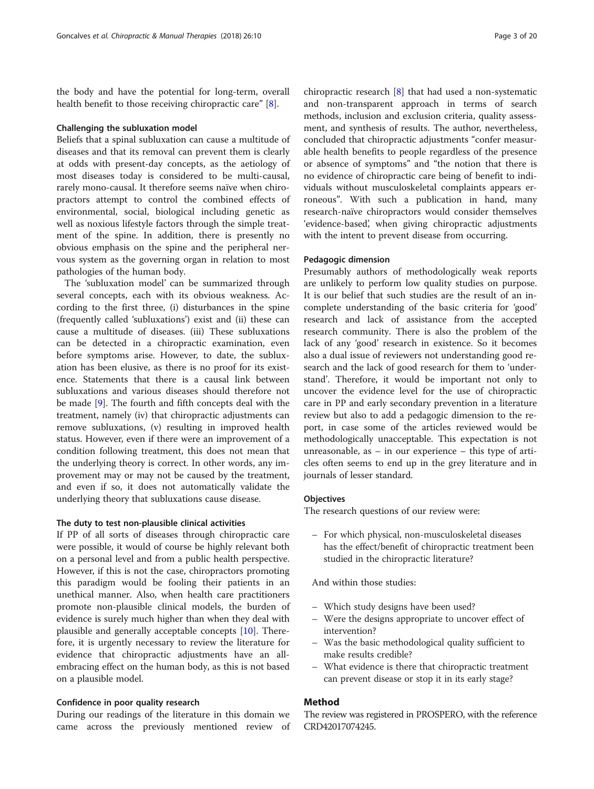the body and have the potential for long-term, overall health benefit to those receiving chiropractic care" [[8\]](#page-18-0).

#### Challenging the subluxation model

Beliefs that a spinal subluxation can cause a multitude of diseases and that its removal can prevent them is clearly at odds with present-day concepts, as the aetiology of most diseases today is considered to be multi-causal, rarely mono-causal. It therefore seems naïve when chiropractors attempt to control the combined effects of environmental, social, biological including genetic as well as noxious lifestyle factors through the simple treatment of the spine. In addition, there is presently no obvious emphasis on the spine and the peripheral nervous system as the governing organ in relation to most pathologies of the human body.

The 'subluxation model' can be summarized through several concepts, each with its obvious weakness. According to the first three, (i) disturbances in the spine (frequently called 'subluxations') exist and (ii) these can cause a multitude of diseases. (iii) These subluxations can be detected in a chiropractic examination, even before symptoms arise. However, to date, the subluxation has been elusive, as there is no proof for its existence. Statements that there is a causal link between subluxations and various diseases should therefore not be made [[9\]](#page-18-0). The fourth and fifth concepts deal with the treatment, namely (iv) that chiropractic adjustments can remove subluxations, (v) resulting in improved health status. However, even if there were an improvement of a condition following treatment, this does not mean that the underlying theory is correct. In other words, any improvement may or may not be caused by the treatment, and even if so, it does not automatically validate the underlying theory that subluxations cause disease.

#### The duty to test non-plausible clinical activities

If PP of all sorts of diseases through chiropractic care were possible, it would of course be highly relevant both on a personal level and from a public health perspective. However, if this is not the case, chiropractors promoting this paradigm would be fooling their patients in an unethical manner. Also, when health care practitioners promote non-plausible clinical models, the burden of evidence is surely much higher than when they deal with plausible and generally acceptable concepts [[10\]](#page-18-0). Therefore, it is urgently necessary to review the literature for evidence that chiropractic adjustments have an allembracing effect on the human body, as this is not based on a plausible model.

#### Confidence in poor quality research

During our readings of the literature in this domain we came across the previously mentioned review of chiropractic research [[8\]](#page-18-0) that had used a non-systematic and non-transparent approach in terms of search methods, inclusion and exclusion criteria, quality assessment, and synthesis of results. The author, nevertheless, concluded that chiropractic adjustments "confer measurable health benefits to people regardless of the presence or absence of symptoms" and "the notion that there is no evidence of chiropractic care being of benefit to individuals without musculoskeletal complaints appears erroneous". With such a publication in hand, many research-naïve chiropractors would consider themselves 'evidence-based', when giving chiropractic adjustments with the intent to prevent disease from occurring.

#### Pedagogic dimension

Presumably authors of methodologically weak reports are unlikely to perform low quality studies on purpose. It is our belief that such studies are the result of an incomplete understanding of the basic criteria for 'good' research and lack of assistance from the accepted research community. There is also the problem of the lack of any 'good' research in existence. So it becomes also a dual issue of reviewers not understanding good research and the lack of good research for them to 'understand'. Therefore, it would be important not only to uncover the evidence level for the use of chiropractic care in PP and early secondary prevention in a literature review but also to add a pedagogic dimension to the report, in case some of the articles reviewed would be methodologically unacceptable. This expectation is not unreasonable, as – in our experience – this type of articles often seems to end up in the grey literature and in journals of lesser standard.

#### **Objectives**

The research questions of our review were:

– For which physical, non-musculoskeletal diseases has the effect/benefit of chiropractic treatment been studied in the chiropractic literature?

And within those studies:

- Which study designs have been used?
- Were the designs appropriate to uncover effect of intervention?
- Was the basic methodological quality sufficient to make results credible?
- What evidence is there that chiropractic treatment can prevent disease or stop it in its early stage?

## Method

The review was registered in PROSPERO, with the reference CRD42017074245.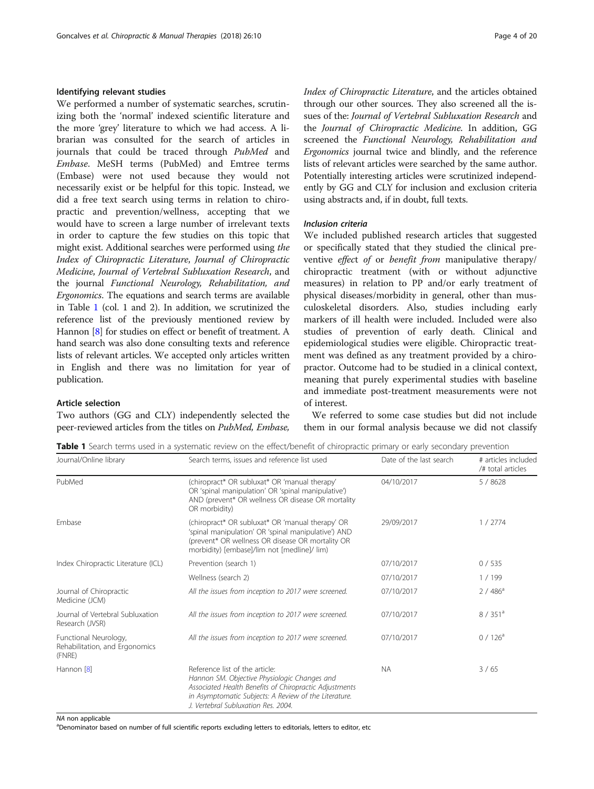## <span id="page-3-0"></span>Identifying relevant studies

We performed a number of systematic searches, scrutinizing both the 'normal' indexed scientific literature and the more 'grey' literature to which we had access. A librarian was consulted for the search of articles in journals that could be traced through PubMed and Embase. MeSH terms (PubMed) and Emtree terms (Embase) were not used because they would not necessarily exist or be helpful for this topic. Instead, we did a free text search using terms in relation to chiropractic and prevention/wellness, accepting that we would have to screen a large number of irrelevant texts in order to capture the few studies on this topic that might exist. Additional searches were performed using the Index of Chiropractic Literature, Journal of Chiropractic Medicine, Journal of Vertebral Subluxation Research, and the journal Functional Neurology, Rehabilitation, and Ergonomics. The equations and search terms are available in Table 1 (col. 1 and 2). In addition, we scrutinized the reference list of the previously mentioned review by Hannon [\[8](#page-18-0)] for studies on effect or benefit of treatment. A hand search was also done consulting texts and reference lists of relevant articles. We accepted only articles written in English and there was no limitation for year of publication.

Index of Chiropractic Literature, and the articles obtained through our other sources. They also screened all the issues of the: Journal of Vertebral Subluxation Research and the Journal of Chiropractic Medicine. In addition, GG screened the Functional Neurology, Rehabilitation and Ergonomics journal twice and blindly, and the reference lists of relevant articles were searched by the same author. Potentially interesting articles were scrutinized independently by GG and CLY for inclusion and exclusion criteria using abstracts and, if in doubt, full texts.

### Inclusion criteria

We included published research articles that suggested or specifically stated that they studied the clinical preventive effect of or benefit from manipulative therapy/ chiropractic treatment (with or without adjunctive measures) in relation to PP and/or early treatment of physical diseases/morbidity in general, other than musculoskeletal disorders. Also, studies including early markers of ill health were included. Included were also studies of prevention of early death. Clinical and epidemiological studies were eligible. Chiropractic treatment was defined as any treatment provided by a chiropractor. Outcome had to be studied in a clinical context, meaning that purely experimental studies with baseline and immediate post-treatment measurements were not of interest.

## Article selection

Two authors (GG and CLY) independently selected the peer-reviewed articles from the titles on PubMed, Embase,

We referred to some case studies but did not include them in our formal analysis because we did not classify

Table 1 Search terms used in a systematic review on the effect/benefit of chiropractic primary or early secondary prevention

| Journal/Online library                                            | Search terms, issues and reference list used                                                                                                                                                                                             | Date of the last search | # articles included<br>/# total articles |
|-------------------------------------------------------------------|------------------------------------------------------------------------------------------------------------------------------------------------------------------------------------------------------------------------------------------|-------------------------|------------------------------------------|
| PubMed                                                            | (chiropract* OR subluxat* OR 'manual therapy'<br>OR 'spinal manipulation' OR 'spinal manipulative')<br>AND (prevent* OR wellness OR disease OR mortality<br>OR morbidity)                                                                | 04/10/2017              | 5 / 8628                                 |
| Embase                                                            | (chiropract* OR subluxat* OR 'manual therapy' OR<br>'spinal manipulation' OR 'spinal manipulative') AND<br>(prevent* OR wellness OR disease OR mortality OR<br>morbidity) [embase]/lim not [medline]/ lim)                               | 29/09/2017              | 1/2774                                   |
| Index Chiropractic Literature (ICL)                               | Prevention (search 1)                                                                                                                                                                                                                    | 07/10/2017              | 0/535                                    |
|                                                                   | Wellness (search 2)                                                                                                                                                                                                                      | 07/10/2017              | 1/199                                    |
| Journal of Chiropractic<br>Medicine (JCM)                         | All the issues from inception to 2017 were screened.                                                                                                                                                                                     | 07/10/2017              | $2/486^a$                                |
| Journal of Vertebral Subluxation<br>Research (JVSR)               | All the issues from inception to 2017 were screened.                                                                                                                                                                                     | 07/10/2017              | 8 / 351 <sup>a</sup>                     |
| Functional Neurology,<br>Rehabilitation, and Ergonomics<br>(FNRE) | All the issues from inception to 2017 were screened.                                                                                                                                                                                     | 07/10/2017              | $0/126^a$                                |
| Hannon [8]                                                        | Reference list of the article:<br>Hannon SM. Objective Physiologic Changes and<br>Associated Health Benefits of Chiropractic Adjustments<br>in Asymptomatic Subjects: A Review of the Literature.<br>J. Vertebral Subluxation Res. 2004. | <b>NA</b>               | 3/65                                     |

NA non applicable

<sup>a</sup>Denominator based on number of full scientific reports excluding letters to editorials, letters to editor, etc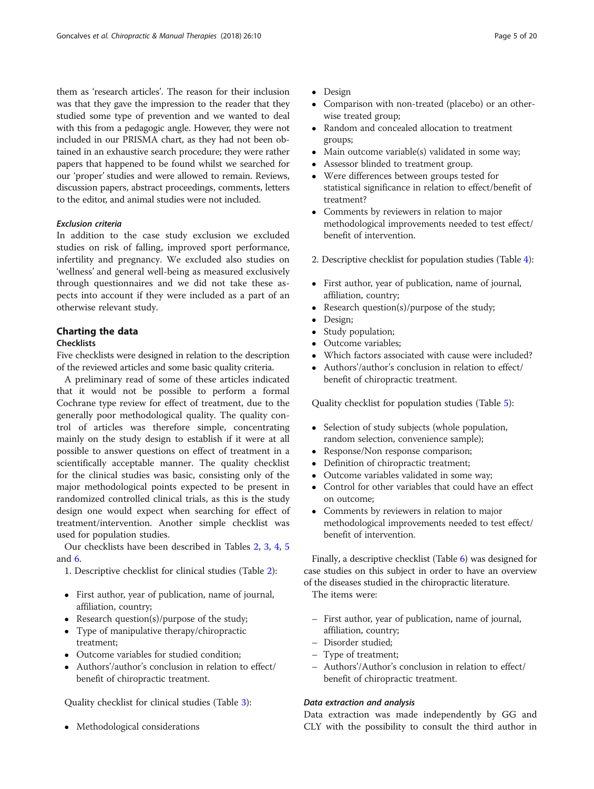them as 'research articles'. The reason for their inclusion was that they gave the impression to the reader that they studied some type of prevention and we wanted to deal with this from a pedagogic angle. However, they were not included in our PRISMA chart, as they had not been obtained in an exhaustive search procedure; they were rather papers that happened to be found whilst we searched for our 'proper' studies and were allowed to remain. Reviews, discussion papers, abstract proceedings, comments, letters to the editor, and animal studies were not included.

## Exclusion criteria

In addition to the case study exclusion we excluded studies on risk of falling, improved sport performance, infertility and pregnancy. We excluded also studies on 'wellness' and general well-being as measured exclusively through questionnaires and we did not take these aspects into account if they were included as a part of an otherwise relevant study.

## Charting the data

## **Checklists**

Five checklists were designed in relation to the description of the reviewed articles and some basic quality criteria.

A preliminary read of some of these articles indicated that it would not be possible to perform a formal Cochrane type review for effect of treatment, due to the generally poor methodological quality. The quality control of articles was therefore simple, concentrating mainly on the study design to establish if it were at all possible to answer questions on effect of treatment in a scientifically acceptable manner. The quality checklist for the clinical studies was basic, consisting only of the major methodological points expected to be present in randomized controlled clinical trials, as this is the study design one would expect when searching for effect of treatment/intervention. Another simple checklist was used for population studies.

Our checklists have been described in Tables [2](#page-5-0), [3,](#page-7-0) [4](#page-9-0), [5](#page-10-0) and [6.](#page-11-0)

- 1. Descriptive checklist for clinical studies (Table [2\)](#page-5-0):
- First author, year of publication, name of journal, affiliation, country;
- Research question(s)/purpose of the study;
- Type of manipulative therapy/chiropractic treatment;
- Outcome variables for studied condition;
- Authors'/author's conclusion in relation to effect/ benefit of chiropractic treatment.

Quality checklist for clinical studies (Table [3\)](#page-7-0):

• Methodological considerations

- Design
- Comparison with non-treated (placebo) or an otherwise treated group;
- Random and concealed allocation to treatment groups;
- Main outcome variable(s) validated in some way;<br>• Assessor blinded to treatment group
- Assessor blinded to treatment group.
- Were differences between groups tested for statistical significance in relation to effect/benefit of treatment?
- Comments by reviewers in relation to major methodological improvements needed to test effect/ benefit of intervention.
- 2. Descriptive checklist for population studies (Table [4](#page-9-0)):
- First author, year of publication, name of journal, affiliation, country;
- Research question(s)/purpose of the study;
- Design;
- Study population;
- Outcome variables:
- Which factors associated with cause were included?
- Authors'/author's conclusion in relation to effect/ benefit of chiropractic treatment.

Quality checklist for population studies (Table [5](#page-10-0)):

- Selection of study subjects (whole population, random selection, convenience sample);
- Response/Non response comparison;
- Definition of chiropractic treatment;
- Outcome variables validated in some way;
- Control for other variables that could have an effect on outcome;
- Comments by reviewers in relation to major methodological improvements needed to test effect/ benefit of intervention.

Finally, a descriptive checklist (Table [6](#page-11-0)) was designed for case studies on this subject in order to have an overview of the diseases studied in the chiropractic literature.

The items were:

- First author, year of publication, name of journal, affiliation, country;
- Disorder studied;
- Type of treatment;
- Authors'/Author's conclusion in relation to effect/ benefit of chiropractic treatment.

#### Data extraction and analysis

Data extraction was made independently by GG and CLY with the possibility to consult the third author in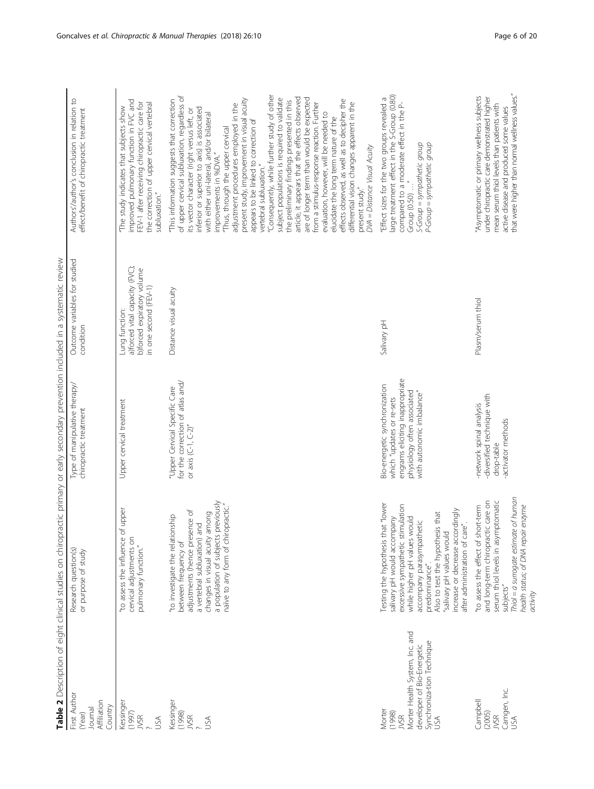<span id="page-5-0"></span>

|                                                                                                                                     | Table 2 Description of eight clinical studies on chiropractic primary or early secondary prevention included in a systematic review                                                                                                                                                                                         |                                                                                                                                                           |                                                                                                         |                                                                                                                                                                                                                                                                                                                                                                                                                                                                                                                                                                                                                                                                                                                                                                                                                                                                                                                                                                                              |
|-------------------------------------------------------------------------------------------------------------------------------------|-----------------------------------------------------------------------------------------------------------------------------------------------------------------------------------------------------------------------------------------------------------------------------------------------------------------------------|-----------------------------------------------------------------------------------------------------------------------------------------------------------|---------------------------------------------------------------------------------------------------------|----------------------------------------------------------------------------------------------------------------------------------------------------------------------------------------------------------------------------------------------------------------------------------------------------------------------------------------------------------------------------------------------------------------------------------------------------------------------------------------------------------------------------------------------------------------------------------------------------------------------------------------------------------------------------------------------------------------------------------------------------------------------------------------------------------------------------------------------------------------------------------------------------------------------------------------------------------------------------------------------|
| First Author<br>Affiliation<br>Country<br>Journal<br>(Year)                                                                         | Research question(s)<br>or purpose of study                                                                                                                                                                                                                                                                                 | Type of manipulative therapy/<br>chiropractic treatment                                                                                                   | Outcome variables for studied<br>condition                                                              | Authors/author's conclusion in relation to<br>effect/benefit of chiropractic treatment                                                                                                                                                                                                                                                                                                                                                                                                                                                                                                                                                                                                                                                                                                                                                                                                                                                                                                       |
| Kessinger<br>(1997)<br>JVSR<br>USA                                                                                                  | "to assess the influence of upper<br>cervical adjustments on<br>pulmonary function."                                                                                                                                                                                                                                        | Upper cervical treatment                                                                                                                                  | a)forced vital capacity (FVC);<br>b)forced expiratory volume<br>in one second (FEV-1)<br>Lung function: | improved pulmonary function in FVC and<br>FEV-1 after receiving chiropractic care for<br>the correction of upper cervical vertebral<br>The study indicates that subjects show<br>subluxation."                                                                                                                                                                                                                                                                                                                                                                                                                                                                                                                                                                                                                                                                                                                                                                                               |
| Kessinger<br>(1998)<br><b>JVSR</b><br>USA                                                                                           | a population of subjects previously<br>naïve to any form of chiropractic."<br>adjustments (hence presence of<br>changes in visual acuity among<br>"to investigate the relationship<br>a vertebral subluxation) and<br>between frequency of                                                                                  | for the correction of atlas and/<br>"Upper Cervical Specific Care<br>or axis $(C-1, C-2)''$                                                               | Distance visual acuity                                                                                  | "Consequently, while further study of other<br>of upper cervical subluxation, regardless of<br>subject populations is required to validate<br>article, it appears that the effects observed<br>are of longer term than would be expected<br>present study, improvement in visual acuity<br>"This information suggests that correction<br>effects observed, as well as to decipher the<br>the preliminary findings presented in this<br>from a stimulus-response reaction. Further<br>differential vision changes apparent in the<br>adjustment procedures employed in the<br>inferior or superior to axis) is associated<br>its vector character (right versus left, or<br>evaluation, however, will be needed to<br>with either uni-lateral, and/or bilateral<br>elucidate the long term nature of the<br>appears to be linked to correction of<br>Thus, through the upper cervical<br>DVA = Distance Visual Acuity<br>improvements in %DVA."<br>vertebral subluxation."<br>present study." |
| Morter Health System, Inc. and<br>Synchroniza-tion Technique<br>developer of Bio-Energetic<br>Morter<br>(1998)<br><b>JVSR</b><br>SA | Testing the hypothesis that "lower<br>excessive sympathetic stimulation<br>increase or decrease accordingly<br>Also to test the hypothesis that<br>salivary pH would accompany<br>while higher pH values would<br>accompany parasympathetic<br>after administration of care".<br>salivary pH values would<br>predominance". | engrams eliciting inappropriate<br>Bio-energetic synchronization<br>physiology often associated<br>with autonomic imbalance"<br>which "updates or re-sets | Salivary pH                                                                                             | arge treatment effect in the S-Group (0.80)<br>"Effect sizes for the two groups revealed a<br>compared to a moderate effect in the P-<br>S-Group = sympathetic group<br>P-Group = sympathetic group<br>Group (0.50)                                                                                                                                                                                                                                                                                                                                                                                                                                                                                                                                                                                                                                                                                                                                                                          |
| Camgen, Inc.<br>Campbell<br>(2005)<br>JVSR<br>USA                                                                                   | Thiol = a surrogate estimate of human<br>and long-term chiropractic care on<br>serum thiol levels in asymptomatic<br>"to assess the effect of short-term<br>enzyme<br>health status; of DNA repain<br>subjects"<br>activity                                                                                                 | -diversified technique with<br>-network spinal analysis<br>activator methods<br>drop-table                                                                | Plasm/serum thiol                                                                                       | that were higher than normal wellness values."<br>"Asymptomatic or primary wellness subjects<br>under chiropractic care demonstrated higher<br>mean serum thiol levels than patients with<br>active disease and produced some values                                                                                                                                                                                                                                                                                                                                                                                                                                                                                                                                                                                                                                                                                                                                                         |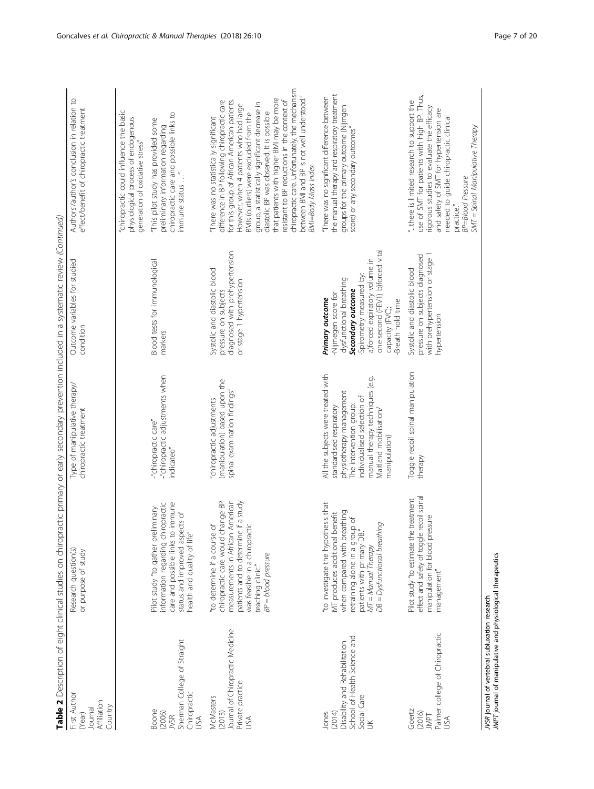| First Author<br>Affiliation<br>Country<br>Journal<br>(Year)                                               | Research question(s)<br>or purpose of study                                                                                                                                                                                   | Type of manipulative therapy<br>chiropractic treatment                                                                                                                                                                             | Outcome variables for studied<br>condition                                                                                                                                                                                   | Authors/author's conclusion in relation to<br>effect/benefit of chiropractic treatment                                                                                                                                                                                                                                                                                                                                                                                                                                                          |
|-----------------------------------------------------------------------------------------------------------|-------------------------------------------------------------------------------------------------------------------------------------------------------------------------------------------------------------------------------|------------------------------------------------------------------------------------------------------------------------------------------------------------------------------------------------------------------------------------|------------------------------------------------------------------------------------------------------------------------------------------------------------------------------------------------------------------------------|-------------------------------------------------------------------------------------------------------------------------------------------------------------------------------------------------------------------------------------------------------------------------------------------------------------------------------------------------------------------------------------------------------------------------------------------------------------------------------------------------------------------------------------------------|
|                                                                                                           |                                                                                                                                                                                                                               |                                                                                                                                                                                                                                    |                                                                                                                                                                                                                              | chiropractic could influence the basic<br>physiological process of endogenous<br>generation of oxidative stress"                                                                                                                                                                                                                                                                                                                                                                                                                                |
| Sherman College of Straight<br>Chiropractic<br>Boone<br>(2006)<br><b>JVSR</b><br>USA                      | care and possible links to immune<br>information regarding chiropractic<br>Pilot study "to gather preliminary<br>status and improved aspects of<br>health and quality of life"                                                | -"chiropractic adjustments when<br>-"chiropractic care"<br>indicated"                                                                                                                                                              | Blood tests for immunological<br>markers                                                                                                                                                                                     | chiropractic care and possible links to<br>"This pilot study has provided some<br>preliminary information regarding<br>immune status "                                                                                                                                                                                                                                                                                                                                                                                                          |
| Journal of Chiropractic Medicine<br>Private practice<br>McMasters<br>(2013)<br>JSA                        | measurements in African American<br>chiropractic care would change BP<br>patients and to determine if a study<br>was feasible in a chiropractic<br>"to determine if a course of<br>$BP = blood pressure$<br>teaching clinic." | (manipulation) based upon the<br>spinal examination findings"<br>"chiropractic adjustments                                                                                                                                         | diagnosed with prehypertension<br>Systolic and diastolic blood<br>or stage 1 hypertension<br>pressure on subjects                                                                                                            | chiropractic care. Unfortunately, the mechanism<br>between BMI and BP is not well understood."<br>that patients with higher BMI may be more<br>difference in BP following chiropractic care<br>for this group of African American patients.<br>resistant to BP reductions in the context of<br>group, a statistically significant decrease in<br>However, when 4 patients who had large<br>diastolic BP was observed. It is possible<br>BMIs (outliers) were excluded from the<br>There was no statistically significant<br>BMI=Body Mass Index |
| School of Health Science and<br>Disability and Rehabilitation<br>Social Care<br>(2014)<br>Jones<br>$\leq$ | "to investigate the hypothesis that<br>when compared with breathing<br>MT produces additional benefit<br>retraining alone in a group of<br>DB = Dysfunctional breathing<br>patients with primary DB."<br>MT = Manual Therapy  | All the subjects were treated with<br>manual therapy techniques (e.g.<br>physiotherapy management<br>individualised selection of<br>The intervention group:<br>standardised respiratory<br>Maitland mobilisation/<br>manipulation) | one second (FEV1) b)forced vital<br>a)forced expiratory volume in<br>Spirometry measured by:<br>dysfunctional breathing<br>Secondary outcome<br>Nijmegen score for<br>Primary outcome<br>Breath hold time<br>capacity (FVC); | the manual therapy and respiratory treatment<br>"There was no significant difference between<br>groups for the primary outcome (Nijmgen<br>score) or any secondary outcomes"                                                                                                                                                                                                                                                                                                                                                                    |
| Palmer college of Chiropractic<br>Goertz<br>(2016)<br>JMPT<br>JSA                                         | effect and safety of toggle recoil spinal<br>Pilot study "to estimate the treatment<br>manipulation for blood pressure<br>management"                                                                                         | Toggle recoil spinal manipulation<br>therapy                                                                                                                                                                                       | with prehypertension or stage 1<br>pressure on subjects diagnosed<br>Systolic and diastolic blood<br>hypertension                                                                                                            | use of SMT for patients with high BP. Thus,<br>"there is limited research to support the<br>rigorous studies to evaluate the efficacy<br>and safety of SMT for hypertension are<br>needed to guide chiropractic clinical<br>SMT = Spinal Manipulative Therapy<br><b>BP=Blood Pressure</b><br>practice."                                                                                                                                                                                                                                         |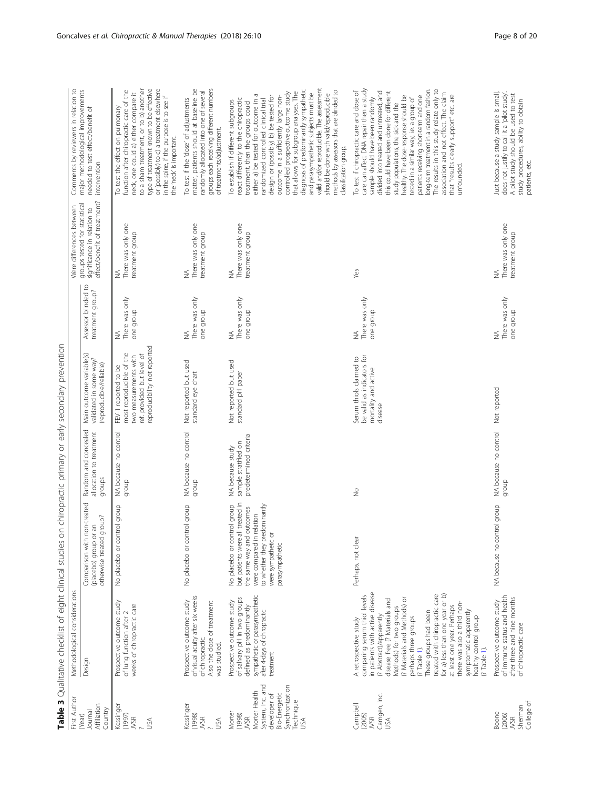<span id="page-7-0"></span>

|                                                                                                                                            | Table 3 Qualitative checklist of eight clinical studies on chiropractic primary or early secondary prevention                                                                                                                                                                                                                                                                                                                                                                                   |                                                                                                                                                                                                      |                                                                    |                                                                                                                                         |                                         |                                                                                                                          |                                                                                                                                                                                                                                                                                                                                                                                                                                                                                                                                                                                                                  |
|--------------------------------------------------------------------------------------------------------------------------------------------|-------------------------------------------------------------------------------------------------------------------------------------------------------------------------------------------------------------------------------------------------------------------------------------------------------------------------------------------------------------------------------------------------------------------------------------------------------------------------------------------------|------------------------------------------------------------------------------------------------------------------------------------------------------------------------------------------------------|--------------------------------------------------------------------|-----------------------------------------------------------------------------------------------------------------------------------------|-----------------------------------------|--------------------------------------------------------------------------------------------------------------------------|------------------------------------------------------------------------------------------------------------------------------------------------------------------------------------------------------------------------------------------------------------------------------------------------------------------------------------------------------------------------------------------------------------------------------------------------------------------------------------------------------------------------------------------------------------------------------------------------------------------|
| First Author<br>Affiliation<br>Country<br>Journal<br>(Year)                                                                                | Methodological considerations<br>Design                                                                                                                                                                                                                                                                                                                                                                                                                                                         | Comparison with non-treated<br>otherwise treated group?<br>$\overline{\mathsf{a}}$<br>(placebo) group or                                                                                             | Random and concealed<br>allocation to treatment<br>groups          | Main outcome variable(s)<br>validated in some way?<br>(reproducible/reliable)                                                           | Assessor blinded to<br>treatment group? | effect/benefit of treatment?<br>groups tested for statistical<br>Were differences between<br>significance in relation to | Comments by reviewers in relation to<br>major methodological improvements<br>needed to test effect/benefit of<br>intervention                                                                                                                                                                                                                                                                                                                                                                                                                                                                                    |
| Kessinger<br>(1997)<br><b>JVSR</b><br>USA                                                                                                  | Prospective outcome study<br>weeks of chiropractic care<br>of lung function after 2                                                                                                                                                                                                                                                                                                                                                                                                             | No placebo or control group                                                                                                                                                                          | NA because no control<br>dhoub                                     | reproducibility not reported<br>most reproducible of the<br>ref. provided but level of<br>two measurements with<br>FEV-1 reported to be | There was only<br>one group<br>₹        | There was only one<br>treatment group<br>₹                                                                               | type of treatment known to be effective<br>or (possibly) to c) a treatment elsewhere<br>to a sham treatment, or to b) another<br>function after chiropractic care of the<br>neck, one could a) either compare it<br>in the spine, if the purpose is to see if<br>To test the effect on pulmonary<br>the 'neck' is important.                                                                                                                                                                                                                                                                                     |
| <b>kessinger</b><br>(1998)<br><b>JVSR</b><br>USA                                                                                           | of visual acuity after six weeks<br>Prospective outcome study<br>Also the dose of treatment<br>of chiropractic.<br>was studied.                                                                                                                                                                                                                                                                                                                                                                 | No placebo or control group                                                                                                                                                                          | NA because no control<br>dronb                                     | Not reported but used<br>standard eye chart                                                                                             | There was only<br>one group<br>≸        | There was only one<br>treatment group<br>≨                                                                               | matter, patients should at baseline be<br>groups each receiving different numbers<br>randomly allocated into one of several<br>To test if the 'dose' of adjustments<br>of treatments/adjustment.                                                                                                                                                                                                                                                                                                                                                                                                                 |
| System, Inc. and<br>Synchronization<br>Morter Health<br>Bio-Energetic<br>developer of<br>Technique<br>Morter<br>(1998)<br><b>NSR</b><br>ŠÁ | sympathetic or parasympathetic<br>of salivary pH in two groups<br>Prospective outcome study<br>defined as predominantly<br>after 4-days of chiropractic<br>treatment                                                                                                                                                                                                                                                                                                                            | but patients were all treated in<br>No placebo or control group<br>to whether they predominantly<br>the same way and outcomes<br>were compared in relation<br>were sympathetic or<br>parasympathetic | predetermined criteria<br>sample stratified on<br>NA because study | Not reported but used<br>standard pH paper                                                                                              | There was only<br>one group<br>₹        | There was only one<br>treatment group<br>≸                                                                               | valid and/or reproducible. The assessment<br>diagnosis of predominantly sympathetic<br>methods by assessors that are blinded to<br>that allows for subgroup analyses. The<br>controlled prospective outcome study<br>and parasympathetic subjects must be<br>should be done with valid/reproducible<br>either a) be tested for outcome in a<br>design or (possibly) b) be tested for<br>outcome in a sufficiently large non-<br>react differently to the chiropractic<br>randomized controlled clinical trial<br>To establish if different subgroups<br>treatment, then the groups could<br>dassification group. |
| Camgen, Inc.<br>Campbell<br>(2005)<br><b>JVSR</b><br>ŠÁ                                                                                    | in patients with active disease<br>treated with chiropractic care<br>for a) less than one year or b)<br>comparing serum thiol levels<br>(? Materials and Methods) or<br>disease free (? Materials and<br>there was also a third non-<br>at least one year. Perhaps<br>Methods) for two groups<br>symptomatic apparently<br>These groups had been<br>(? Abstract)/apparently<br>healthy control group<br>perhaps three groups<br>A retrospective study<br>$(2$ Table $1)$ .<br>$(?$ Table $1)$ . | Perhaps, not clear                                                                                                                                                                                   | $\frac{1}{2}$                                                      | Serum thiols claimed to<br>be valid as indicators for<br>mortality and active<br>disease                                                | There was only<br>one group<br>≨        | Yes                                                                                                                      | care can affect DNA repair then a study<br>The results in this study relate only to<br>long-term treatment in a random fashion.<br>divided into treated and untreated, and<br>To test if chiropractic care and dose of<br>this could have been done for different<br>association and not effect. The claim<br>that "results clearly support" etc. are<br>healthy. The dose-response should be<br>patients receiving short-term and one<br>sample should have been randomly<br>tested in a similar way, i.e. a group of<br>study populations, the sick and the<br>unfounded.                                      |
| College of<br>Sherman<br>Boone<br>(2006)<br><b>JVSR</b>                                                                                    | of immune status and health<br>after three and nine months<br>Prospective outcome study<br>of chiropractic care                                                                                                                                                                                                                                                                                                                                                                                 | NA because no control group                                                                                                                                                                          | NA because no control<br>group                                     | Not reported                                                                                                                            | There was only<br>one group<br>≸        | There was only one<br>treatment group<br>≨                                                                               | Just because a study sample is small,<br>does not justify to call it a 'pilot study'<br>A pilot study should be used to test<br>study procedures, ability to obtain<br>patients, etc.                                                                                                                                                                                                                                                                                                                                                                                                                            |

Table 3 Qualitative checklist of eight clinical studies on chiropractic primary or early secondary prevention nepape-ر<br>پنج of eight clinical studies on chird  $-1$ J.  $\ddot{\ddot{\mathbf{r}}}$  $\frac{1}{\sqrt{2}}$ Table 3 Ou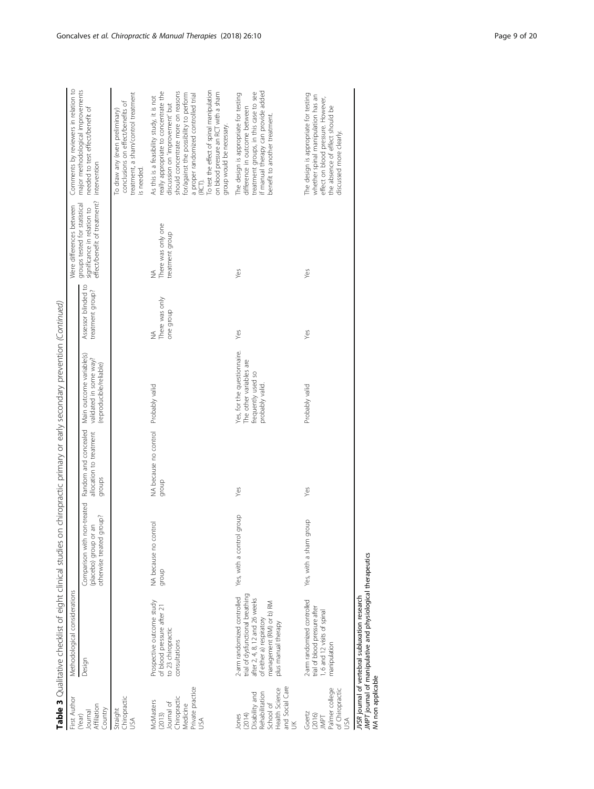|                                                                                                             | Table 3 Qualitative checklist of eight clinical studies on                                                                                                                       |                                                                                    |                                                           | chiropractic primary or early secondary prevention (Continued)                                  |                                              |                                                                                              |                                                                                                                                                                                                                                                                                                                                                                 |
|-------------------------------------------------------------------------------------------------------------|----------------------------------------------------------------------------------------------------------------------------------------------------------------------------------|------------------------------------------------------------------------------------|-----------------------------------------------------------|-------------------------------------------------------------------------------------------------|----------------------------------------------|----------------------------------------------------------------------------------------------|-----------------------------------------------------------------------------------------------------------------------------------------------------------------------------------------------------------------------------------------------------------------------------------------------------------------------------------------------------------------|
| First Author                                                                                                | Methodological considerations                                                                                                                                                    |                                                                                    |                                                           |                                                                                                 |                                              | Were differences between                                                                     | Comments by reviewers in relation to                                                                                                                                                                                                                                                                                                                            |
| Affiliation<br>Country<br>Journal<br>(Year)                                                                 | Design                                                                                                                                                                           | Comparison with non-treated<br>otherwise treated group?<br>Π<br>(placebo) group or | Random and concealed<br>allocation to treatment<br>groups | Main outcome variable(s)<br>validated in some way?<br>(reproducible/reliable)                   | Assessor blinded to<br>treatment group?      | effect/benefit of treatment?<br>groups tested for statistical<br>significance in relation to | major methodological improvements<br>needed to test effect/benefit of<br>intervention                                                                                                                                                                                                                                                                           |
| Chiropractic<br>Straight<br>SÁ                                                                              |                                                                                                                                                                                  |                                                                                    |                                                           |                                                                                                 |                                              |                                                                                              | treatment, a sham/control treatment<br>conclusions on effect/benefits of<br>To draw any (even preliminary)<br>is needed                                                                                                                                                                                                                                         |
| Private practice<br>Chiropractic<br><b>VIcMasters</b><br>Journal of<br>Medicine<br>(2013)<br>JSA            | Prospective outcome study<br>of blood pressure after 21<br>to 23 chiropractic<br>consultations                                                                                   | NA because no control<br>dionb                                                     | NA because no control Probably valid<br>dhoub             |                                                                                                 | There was only<br>one group<br>$\frac{1}{2}$ | There was only one<br>treatment group<br>$\frac{1}{2}$                                       | To test the effect of spinal manipulation<br>really appropriate to concentrate the<br>should concentrate more on reasons<br>for/against the possibility to perform<br>on blood pressure an RCT with a sham<br>a proper randomized controlled trial<br>As this is a feasibility study, it is not<br>discussion on 'improvement' but<br>group would be necessary. |
| and Social Care<br>UK<br>Health Science<br>Disability and<br>Rehabilitation<br>School of<br>(2014)<br>Jones | trial of dysfunctional breathing<br>2-arm randomized controlled<br>after 2, 4, 8, 12 and 26 weeks<br>of either a) respiratory<br>management (RM) or b) RM<br>plus manual therapy | Yes, with a control group                                                          | Yes                                                       | Yes, for the questionnaire.<br>The other variables are<br>frequently used so<br>probably valid. | Yes                                          | Yes                                                                                          | if manual therapy can provide added<br>treatment groups, in this case to see<br>The design is appropriate for testing<br>difference in outcome between<br>benefit to another treatment.                                                                                                                                                                         |
| Palmer college<br>of Chiropractio<br>Goertz<br>(2016)<br>IMPT                                               | 2-arm randomized controlled<br>trial of blood pressure after<br>1, 6 and 12 visits of spinal<br>manipulation                                                                     | Yes, with a sham group                                                             | Yes                                                       | Probably valid                                                                                  | Yes                                          | Yes                                                                                          | The design is appropriate for testing<br>whether spinal manipulation has an<br>effect on blood pressure. However,<br>the absence of effect should be<br>discussed more clearly.                                                                                                                                                                                 |

JVSR journal of vertebral subluxation research<br>JMPT journal of manipulative and physiological therapeutics<br>MA non applicable JMPT journal of manipulative and physiological therapeutics JVSR journal of vertebral subluxation research NA non applicable

Geetz<br>(2016)<br>GOI Ane Te Chi<br>CSA Palmer college of Chiropractic

Goncalves et al. Chiropractic & Manual Therapies (2018) 26:10 **Page 9 of 20** Page 9 of 20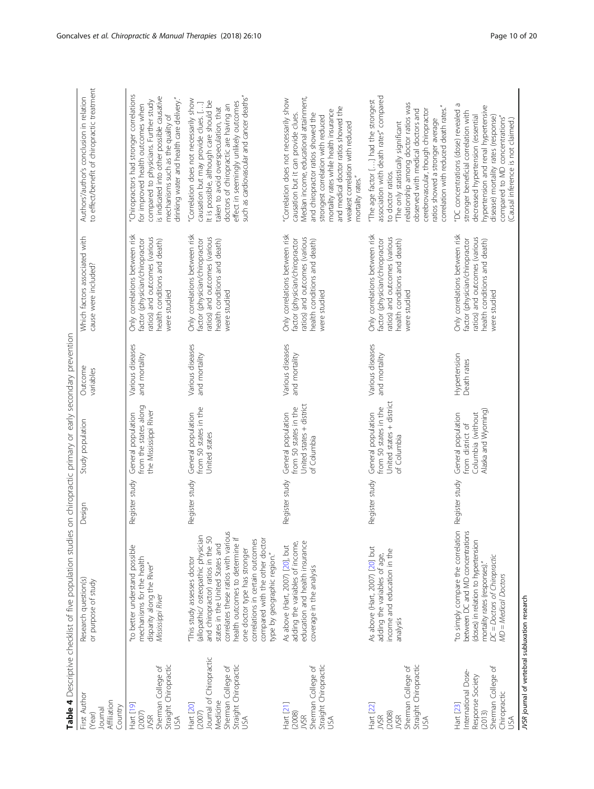<span id="page-9-0"></span>

|                                                                                                                  | Table 4 Descriptive checklist of five population studies on chiropractic primary or early secondary prevention                                                                                                                                                                                                                                          |                |                                                                                        |                                   |                                                                                                                                                   |                                                                                                                                                                                                                                                                                                                                                |
|------------------------------------------------------------------------------------------------------------------|---------------------------------------------------------------------------------------------------------------------------------------------------------------------------------------------------------------------------------------------------------------------------------------------------------------------------------------------------------|----------------|----------------------------------------------------------------------------------------|-----------------------------------|---------------------------------------------------------------------------------------------------------------------------------------------------|------------------------------------------------------------------------------------------------------------------------------------------------------------------------------------------------------------------------------------------------------------------------------------------------------------------------------------------------|
| First Author<br>Affiliation<br>Country<br>Journal<br>(Year)                                                      | Research question(s)<br>or purpose of study                                                                                                                                                                                                                                                                                                             | Design         | Study population                                                                       | Outcome<br>variables              | Which factors associated with<br>cause were included?                                                                                             | to effect/benefit of chiropractic treatment<br>Authors/author's conclusion in relation                                                                                                                                                                                                                                                         |
| Straight Chiropractic<br>Sherman College of<br>Hart [19]<br>(2007)<br><b>JVSR</b><br>SÃ                          | to better understand possible<br>mechanisms for the health<br>disparity along the River"<br>Mississippi River                                                                                                                                                                                                                                           | Register study | from the states along<br>the Mississippi River<br>General population                   | Various diseases<br>and mortality | Only correlations between risk<br>atios) and outcomes (various<br>factor (physician/chiropractor<br>health conditions and death)<br>were studied  | "Chiropractors had stronger correlations<br>is indicated into other possible causative<br>drinking water and health care delivery."<br>compared to physicians. Further study<br>for improved health outcomes when<br>mechanisms such as the quality of                                                                                         |
| Journal of Chiropractic<br>Straight Chiropractic<br>Sherman College of<br>Medicine<br>Hart [20]<br>(2007)<br>JSA | correlates these ratios with various<br>allopathic/ osteopathic physician<br>and chiropractor) ratios in the 50<br>nealth outcomes to determine if<br>correlations in certain outcomes<br>compared with the other doctor<br>states in the United States and<br>one doctor type has stronger<br>type by geographic region.<br>This study assesses doctor | Register study | from 50 states in the<br>General population<br>United states                           | Various diseases<br>and mortality | Only correlations between risk<br>ratios) and outcomes (various<br>factor (physician/chiropractor<br>health conditions and death)<br>were studied | such as cardiovascular and cancer deaths"<br>"Correlation does not necessarily show<br>It is possible, although care should be<br>effect in seemingly unlikely outcomes<br>causation but may provide clues. []<br>doctors of chiropractic are having an<br>taken to avoid overspeculation, that                                                |
| Straight Chiropractic<br>Sherman College of<br>Hart [21]<br>(2008)<br><b>JVSR</b><br>SÃ                          | education and health insurance<br>adding the variables of income,<br>As above (Hart, 2007) [20], but<br>coverage in the analysis                                                                                                                                                                                                                        | Register study | United states + district<br>from 50 states in the<br>General population<br>of Columbia | Various diseases<br>and mortality | Only correlations between risk<br>ratios) and outcomes (various<br>factor (physician/chiropractor<br>health conditions and death)<br>were studied | Median income, educational attainment,<br>"Correlation does not necessarily show<br>and medical doctor ratios showed the<br>mortality rates while health insurance<br>causation but it can provide clues.<br>and chiropractor ratios showed the<br>strongest correlation with reduced<br>weakest correlation with reduced<br>mortality rates." |
| Hart [22]<br>(2008)<br><b>JVSR</b>                                                                               | As above (Hart, 2007) [20] but<br>income and education in the<br>adding the variables of age,                                                                                                                                                                                                                                                           | Register study | United states + district<br>from 50 states in the<br>General population                | Various diseases<br>and mortality | Only correlations between risk<br>ratios) and outcomes (various<br>factor (physician/chiropractor                                                 | association with death rates" compared<br>"The age factor [] had the strongest<br>to doctor ratios.                                                                                                                                                                                                                                            |

DC = Doctors of Chiropractic<br>MD = Medical Doctors JVSR journal of vertebral subluxation research Chiropractic Chiropractic USA

Sherman College of

Sherman College of

JVSR

United states + district of Columbia

of Columbia

ratios) and outcomes (various health conditions and death)

health conditions and death)

"The only statistically significant relationship among doctor ratios was observed with medical doctors and cerebrovascular, though chiropractor ratios showed a stronger average correlation with reduced death rates."

"The only statistically significant

relationship among doctor ratios was

were studied

were studied

analysis

Sherman College of Straight Chiropractic

Sherman College of Straight Chiropractic

USA

Hart [\[23\]](#page-18-0) International Dose-Response Society (2013)

International Dose-Response Society

"to simply compare the correlation between DC and MD concentrations (doses) in relation to hypertension mortality rates (responses)." DC = Doctors of Chiropractic MD = Medical Doctors

between DC and MD concentrations (doses) in relation to hypertension

mortality rates (responses)."

Register study General population

"to simply compare the correlation Register study General population

Hypertension Death rates

Hypertension Death rates

Only correlations between risk factor (physician/chiropractor ratios) and outcomes (various health conditions and death)

ratios) and outcomes (various factor (physician/chiropractor

health conditions and death)

Only correlations between risk

"DC concentrations (dose) revealed a stronger beneficial correlation with decreased hypertension (essential hypertension and renal hypertensive disease) mortality rates (response) compared to MD concentrations" (Causal inference is not claimed.)

stronger beneficial correlation with decreased hypertension (essential disease) mortality rates (response) compared to MD concentrations"<br>(Causal inference is not claimed.)

hypertension and renal hypertensive

"DC concentrations (dose) revealed a

correlation with reduced death rates." cerebrovascular, though chiropractor observed with medical doctors and

ratios showed a stronger average

were studied

were studied

from district of Columbia (without Alaska and Wyoming)

from district of<br>Columbia (without

Alaska and Wyoming)

JVSR journal of vertebral subluxation research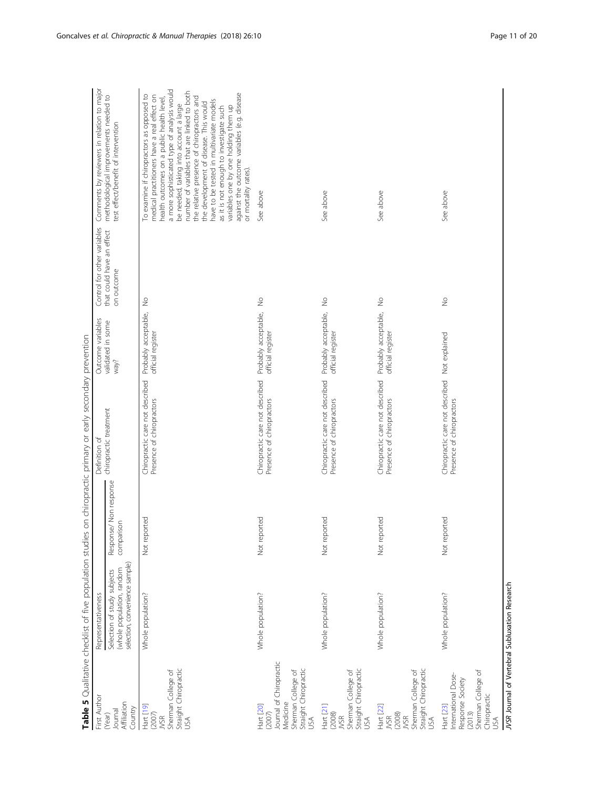<span id="page-10-0"></span>

| First Author                                                                                                      | Representativeness                                                                         |                                      | Definition of                                                | Outcome variables                         | Control for other variables             | Comments by reviewers in relation to major                                                                                                                                                                                                                                                                                                                                                                                                                                                                                                                                 |
|-------------------------------------------------------------------------------------------------------------------|--------------------------------------------------------------------------------------------|--------------------------------------|--------------------------------------------------------------|-------------------------------------------|-----------------------------------------|----------------------------------------------------------------------------------------------------------------------------------------------------------------------------------------------------------------------------------------------------------------------------------------------------------------------------------------------------------------------------------------------------------------------------------------------------------------------------------------------------------------------------------------------------------------------------|
| Affiliation<br>Country<br>Journal<br>(Year)                                                                       | selection, convenience sample)<br>(whole population, random<br>Selection of study subjects | Response/ Non response<br>comparison | chiropractic treatment                                       | validated in some<br>way?                 | that could have an effect<br>on outcome | methodological improvements needed to<br>test effect/benefit of intervention                                                                                                                                                                                                                                                                                                                                                                                                                                                                                               |
| Straight Chiropractic<br>Sherman College of<br>Hart [19]<br>(2007)<br>VSR<br><b>SA</b>                            | Whole population?                                                                          | Not reported                         | Chiropractic care not described<br>Presence of chiropractors | Probably acceptable,<br>official register | $\frac{1}{2}$                           | a more sophisticated type of analysis would<br>number of variables that are linked to both<br>against the outcome variables (e.g. disease<br>To examine if chiropractors as opposed to<br>medical practitioners have a real effect on<br>the relative presence of chiropractors and<br>health outcomes on a public health level,<br>have to be tested in multivariate models<br>the development of disease. This would<br>be needed, taking into account a large<br>as it is not enough to investigate such<br>variables one by one holding them up<br>or mortality rates) |
| loumal of Chiropractic<br>Straight Chiropractic<br>Sherman College of<br>Vledicine<br>lart [20]<br>(2007)<br>JSA  | Whole population?                                                                          | Not reported                         | Chiropractic care not described<br>Presence of chiropractors | Probably acceptable,<br>official register | $\frac{1}{2}$                           | See above                                                                                                                                                                                                                                                                                                                                                                                                                                                                                                                                                                  |
| Straight Chiropractic<br>Sherman College of<br>Hart $[21]$<br>(2008)<br>VSR<br><b>SA</b>                          | Whole population?                                                                          | Not reported                         | Chiropractic care not described<br>Presence of chiropractors | Probably acceptable,<br>official register | $\frac{1}{2}$                           | See above                                                                                                                                                                                                                                                                                                                                                                                                                                                                                                                                                                  |
| Straight Chiropractic<br>Sherman College of<br><b>Hart</b> [22]<br>(2008)<br>IVSR<br>VSR<br>JSA                   | Whole population?                                                                          | Not reported                         | Chiropractic care not described<br>Presence of chiropractors | Probably acceptable,<br>official register | $\frac{1}{2}$                           | See above                                                                                                                                                                                                                                                                                                                                                                                                                                                                                                                                                                  |
| Sherman College of<br>nternational Dose-<br>Response Society<br>Chiropractic<br><b>Hart</b> [23]<br>(2013)<br>JSA | Whole population?                                                                          | Not reported                         | Chiropractic care not described<br>Presence of chiropractors | Not explained                             | $\frac{0}{2}$                           | See above                                                                                                                                                                                                                                                                                                                                                                                                                                                                                                                                                                  |

Table 5 Qualitative checklist of five population studies on chiropractic primary or early secondary prevention

JVSR Journal of Vertebral Subluxation Research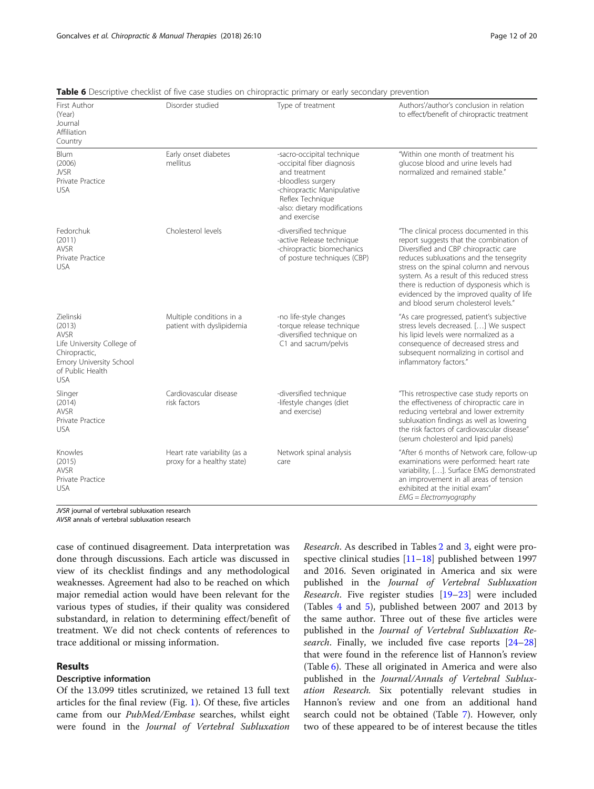| First Author<br>(Year)<br>Journal<br>Affiliation<br>Country                                                                                    | Disorder studied                                           | Type of treatment                                                                                                                                                                                 | Authors'/author's conclusion in relation<br>to effect/benefit of chiropractic treatment                                                                                                                                                                                                                                                                                                            |
|------------------------------------------------------------------------------------------------------------------------------------------------|------------------------------------------------------------|---------------------------------------------------------------------------------------------------------------------------------------------------------------------------------------------------|----------------------------------------------------------------------------------------------------------------------------------------------------------------------------------------------------------------------------------------------------------------------------------------------------------------------------------------------------------------------------------------------------|
| Blum<br>(2006)<br><b>JVSR</b><br>Private Practice<br><b>USA</b>                                                                                | Early onset diabetes<br>mellitus                           | -sacro-occipital technique<br>-occipital fiber diagnosis<br>and treatment<br>-bloodless surgery<br>-chiropractic Manipulative<br>Reflex Technique<br>-also: dietary modifications<br>and exercise | "Within one month of treatment his<br>glucose blood and urine levels had<br>normalized and remained stable."                                                                                                                                                                                                                                                                                       |
| Fedorchuk<br>(2011)<br>AVSR<br>Private Practice<br><b>USA</b>                                                                                  | Cholesterol levels                                         | -diversified technique<br>-active Release technique<br>-chiropractic biomechanics<br>of posture techniques (CBP)                                                                                  | "The clinical process documented in this<br>report suggests that the combination of<br>Diversified and CBP chiropractic care<br>reduces subluxations and the tensegrity<br>stress on the spinal column and nervous<br>system. As a result of this reduced stress<br>there is reduction of dysponesis which is<br>evidenced by the improved quality of life<br>and blood serum cholesterol levels." |
| Zielinski<br>(2013)<br><b>AVSR</b><br>Life University College of<br>Chiropractic,<br>Emory University School<br>of Public Health<br><b>USA</b> | Multiple conditions in a<br>patient with dyslipidemia      | -no life-style changes<br>-torque release technique<br>-diversified technique on<br>C1 and sacrum/pelvis                                                                                          | "As care progressed, patient's subjective<br>stress levels decreased. [] We suspect<br>his lipid levels were normalized as a<br>consequence of decreased stress and<br>subsequent normalizing in cortisol and<br>inflammatory factors."                                                                                                                                                            |
| Slinger<br>(2014)<br><b>AVSR</b><br>Private Practice<br>USA                                                                                    | Cardiovascular disease<br>risk factors                     | -diversified technique<br>-lifestyle changes (diet<br>and exercise)                                                                                                                               | "This retrospective case study reports on<br>the effectiveness of chiropractic care in<br>reducing vertebral and lower extremity<br>subluxation findings as well as lowering<br>the risk factors of cardiovascular disease"<br>(serum cholesterol and lipid panels)                                                                                                                                |
| Knowles<br>(2015)<br><b>AVSR</b><br>Private Practice<br><b>USA</b>                                                                             | Heart rate variability (as a<br>proxy for a healthy state) | Network spinal analysis<br>care                                                                                                                                                                   | "After 6 months of Network care, follow-up<br>examinations were performed: heart rate<br>variability, []. Surface EMG demonstrated<br>an improvement in all areas of tension<br>exhibited at the initial exam"<br>$EMG = Electromyography$                                                                                                                                                         |

<span id="page-11-0"></span>**Table 6** Descriptive checklist of five case studies on chiropractic primary or early secondary prevention

JVSR journal of vertebral subluxation research AVSR annals of vertebral subluxation research

case of continued disagreement. Data interpretation was done through discussions. Each article was discussed in view of its checklist findings and any methodological weaknesses. Agreement had also to be reached on which major remedial action would have been relevant for the various types of studies, if their quality was considered substandard, in relation to determining effect/benefit of treatment. We did not check contents of references to trace additional or missing information.

## Results

## Descriptive information

Of the 13.099 titles scrutinized, we retained 13 full text articles for the final review (Fig. [1\)](#page-12-0). Of these, five articles came from our *PubMed/Embase* searches, whilst eight were found in the Journal of Vertebral Subluxation Research. As described in Tables [2](#page-5-0) and [3,](#page-7-0) eight were prospective clinical studies [\[11](#page-18-0)–[18\]](#page-18-0) published between 1997 and 2016. Seven originated in America and six were published in the Journal of Vertebral Subluxation Research. Five register studies [[19](#page-18-0)–[23\]](#page-18-0) were included (Tables [4](#page-9-0) and [5](#page-10-0)), published between 2007 and 2013 by the same author. Three out of these five articles were published in the Journal of Vertebral Subluxation Research. Finally, we included five case reports  $[24-28]$  $[24-28]$  $[24-28]$  $[24-28]$  $[24-28]$ that were found in the reference list of Hannon's review (Table 6). These all originated in America and were also published in the Journal/Annals of Vertebral Subluxation Research. Six potentially relevant studies in Hannon's review and one from an additional hand search could not be obtained (Table [7\)](#page-12-0). However, only two of these appeared to be of interest because the titles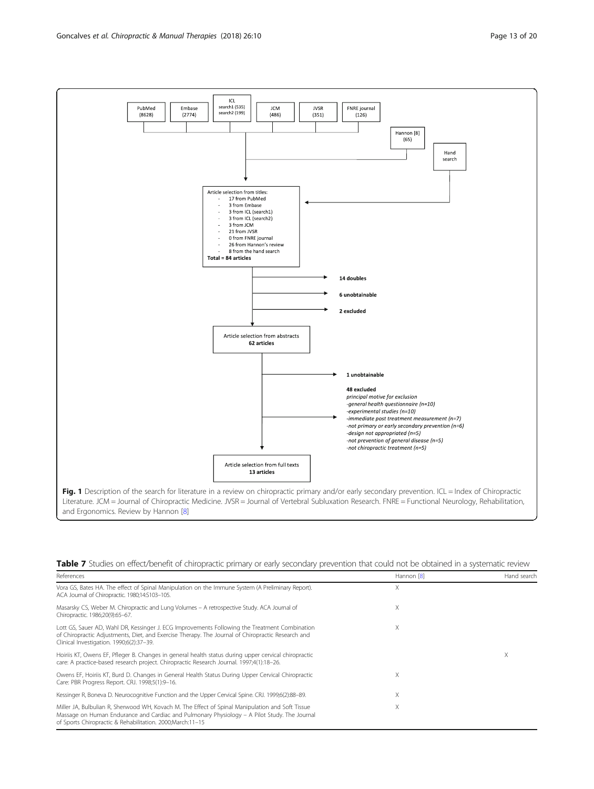<span id="page-12-0"></span>

Table 7 Studies on effect/benefit of chiropractic primary or early secondary prevention that could not be obtained in a systematic review

| References                                                                                                                                                                                                                                                      | Hannon [8] | Hand search |
|-----------------------------------------------------------------------------------------------------------------------------------------------------------------------------------------------------------------------------------------------------------------|------------|-------------|
| Vora GS, Bates HA. The effect of Spinal Manipulation on the Immune System (A Preliminary Report).<br>ACA Journal of Chiropractic. 1980;14:S103-105.                                                                                                             | Χ          |             |
| Masarsky CS, Weber M. Chiropractic and Lung Volumes - A retrospective Study. ACA Journal of<br>Chiropractic. 1986;20(9):65-67.                                                                                                                                  | X          |             |
| Lott GS, Sauer AD, Wahl DR, Kessinger J. ECG Improvements Following the Treatment Combination<br>of Chiropractic Adjustments, Diet, and Exercise Therapy. The Journal of Chiropractic Research and<br>Clinical Investigation. 1990;6(2):37-39.                  | Χ          |             |
| Hoiriis KT, Owens EF, Pfleger B. Changes in general health status during upper cervical chiropractic<br>care: A practice-based research project. Chiropractic Research Journal. 1997;4(1):18-26.                                                                |            | Χ           |
| Owens EF, Hoiriis KT, Burd D. Changes in General Health Status During Upper Cervical Chiropractic<br>Care: PBR Progress Report. CRJ. 1998;5(1):9-16.                                                                                                            | Χ          |             |
| Kessinger R, Boneva D. Neurocognitive Function and the Upper Cervical Spine. CRJ. 1999;6(2):88-89.                                                                                                                                                              | X          |             |
| Miller JA, Bulbulian R, Sherwood WH, Kovach M. The Effect of Spinal Manipulation and Soft Tissue<br>Massage on Human Endurance and Cardiac and Pulmonary Physiology - A Pilot Study. The Journal<br>of Sports Chiropractic & Rehabilitation. 2000; March: 11-15 | Χ          |             |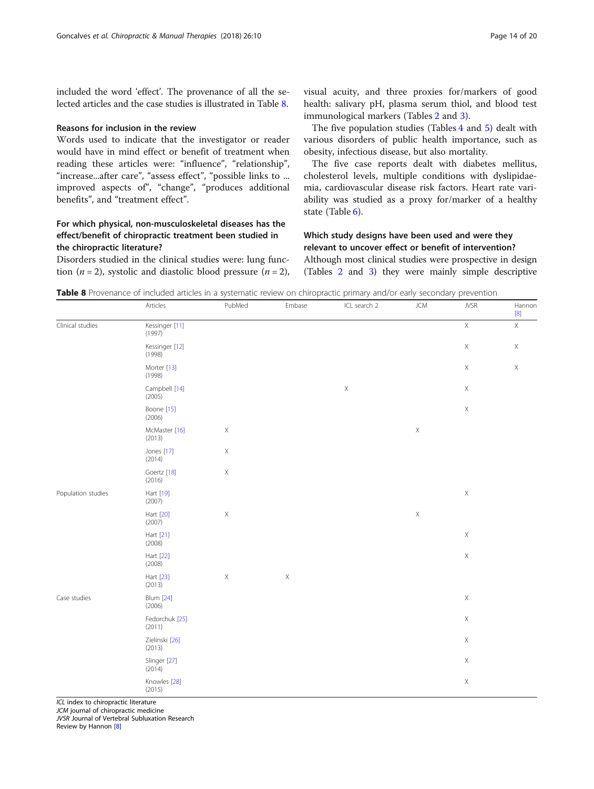included the word 'effect'. The provenance of all the selected articles and the case studies is illustrated in Table 8.

### Reasons for inclusion in the review

Words used to indicate that the investigator or reader would have in mind effect or benefit of treatment when reading these articles were: "influence", "relationship", "increase...after care", "assess effect", "possible links to ... improved aspects of", "change", "produces additional benefits", and "treatment effect".

## For which physical, non-musculoskeletal diseases has the effect/benefit of chiropractic treatment been studied in the chiropractic literature?

Disorders studied in the clinical studies were: lung function ( $n = 2$ ), systolic and diastolic blood pressure ( $n = 2$ ), visual acuity, and three proxies for/markers of good health: salivary pH, plasma serum thiol, and blood test immunological markers (Tables [2](#page-5-0) and [3\)](#page-7-0).

The five population studies (Tables [4](#page-9-0) and [5](#page-10-0)) dealt with various disorders of public health importance, such as obesity, infectious disease, but also mortality.

The five case reports dealt with diabetes mellitus, cholesterol levels, multiple conditions with dyslipidaemia, cardiovascular disease risk factors. Heart rate variability was studied as a proxy for/marker of a healthy state (Table [6\)](#page-11-0).

Which study designs have been used and were they relevant to uncover effect or benefit of intervention? Although most clinical studies were prospective in design (Tables [2](#page-5-0) and [3\)](#page-7-0) they were mainly simple descriptive

Table 8 Provenance of included articles in a systematic review on chiropractic primary and/or early secondary prevention

|                      | Articles                   | PubMed      | Embase      | ICL search 2 | <b>JCM</b>  | <b>JVSR</b> | Hannon<br>$\left[8\right]$ |
|----------------------|----------------------------|-------------|-------------|--------------|-------------|-------------|----------------------------|
| Clinical studies     | Kessinger [11]<br>(1997)   |             |             |              |             | $\mathsf X$ | $\mathsf X$                |
|                      | Kessinger [12]<br>(1998)   |             |             |              |             | $\mathsf X$ | $\mathsf X$                |
|                      | Morter [13]<br>(1998)      |             |             |              |             | $\mathsf X$ | $\mathsf X$                |
|                      | Campbell [14]<br>(2005)    |             |             | $\mathsf X$  |             | $\mathsf X$ |                            |
|                      | Boone [15]<br>(2006)       |             |             |              |             | $\mathsf X$ |                            |
|                      | McMaster [16]<br>(2013)    | $\mathsf X$ |             |              | $\mathsf X$ |             |                            |
|                      | Jones [17]<br>(2014)       | $\mathsf X$ |             |              |             |             |                            |
|                      | Goertz [18]<br>(2016)      | $\mathsf X$ |             |              |             |             |                            |
| Population studies   | Hart [19]<br>(2007)        |             |             |              |             | $\mathsf X$ |                            |
|                      | Hart [20]<br>(2007)        | $\mathsf X$ |             |              | $\mathsf X$ |             |                            |
|                      | Hart [21]<br>(2008)        |             |             |              |             | $\mathsf X$ |                            |
|                      | Hart [22]<br>(2008)        |             |             |              |             | $\mathsf X$ |                            |
|                      | Hart [23]<br>(2013)        | $\mathsf X$ | $\mathsf X$ |              |             |             |                            |
| Case studies         | <b>Blum</b> [24]<br>(2006) |             |             |              |             | $\mathsf X$ |                            |
|                      | Fedorchuk [25]<br>(2011)   |             |             |              |             | $\mathsf X$ |                            |
|                      | Zielinski [26]<br>(2013)   |             |             |              |             | $\mathsf X$ |                            |
|                      | Slinger [27]<br>(2014)     |             |             |              |             | $\mathsf X$ |                            |
| .<br>$\cdot$ $\cdot$ | Knowles [28]<br>(2015)     |             |             |              |             | $\mathsf X$ |                            |

ICL index to chiropractic literature

JCM journal of chiropractic medicine JVSR Journal of Vertebral Subluxation Research

Review by Hannon [\[8\]](#page-18-0)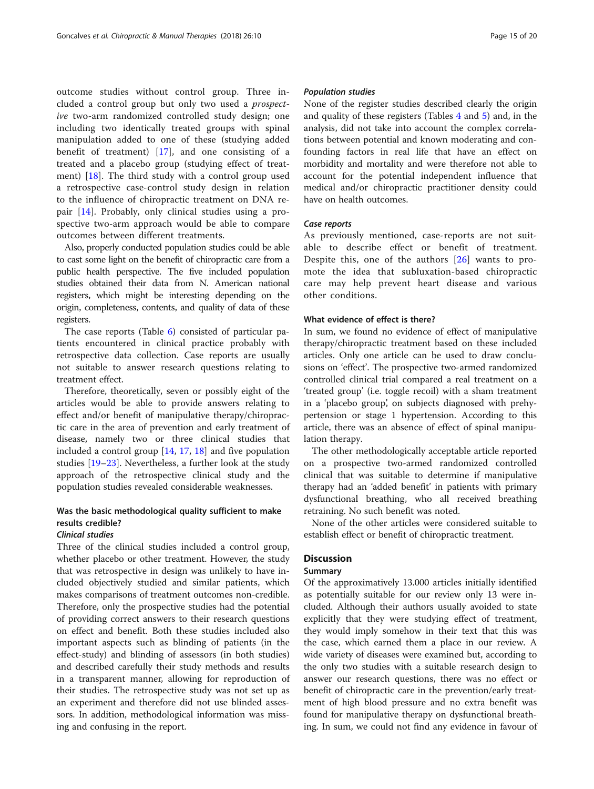outcome studies without control group. Three included a control group but only two used a prospective two-arm randomized controlled study design; one including two identically treated groups with spinal manipulation added to one of these (studying added benefit of treatment) [\[17](#page-18-0)], and one consisting of a treated and a placebo group (studying effect of treatment) [[18\]](#page-18-0). The third study with a control group used a retrospective case-control study design in relation to the influence of chiropractic treatment on DNA repair [[14](#page-18-0)]. Probably, only clinical studies using a prospective two-arm approach would be able to compare outcomes between different treatments.

Also, properly conducted population studies could be able to cast some light on the benefit of chiropractic care from a public health perspective. The five included population studies obtained their data from N. American national registers, which might be interesting depending on the origin, completeness, contents, and quality of data of these registers.

The case reports (Table [6](#page-11-0)) consisted of particular patients encountered in clinical practice probably with retrospective data collection. Case reports are usually not suitable to answer research questions relating to treatment effect.

Therefore, theoretically, seven or possibly eight of the articles would be able to provide answers relating to effect and/or benefit of manipulative therapy/chiropractic care in the area of prevention and early treatment of disease, namely two or three clinical studies that included a control group [[14,](#page-18-0) [17,](#page-18-0) [18\]](#page-18-0) and five population studies [\[19](#page-18-0)–[23\]](#page-18-0). Nevertheless, a further look at the study approach of the retrospective clinical study and the population studies revealed considerable weaknesses.

# Was the basic methodological quality sufficient to make results credible?

## Clinical studies

Three of the clinical studies included a control group, whether placebo or other treatment. However, the study that was retrospective in design was unlikely to have included objectively studied and similar patients, which makes comparisons of treatment outcomes non-credible. Therefore, only the prospective studies had the potential of providing correct answers to their research questions on effect and benefit. Both these studies included also important aspects such as blinding of patients (in the effect-study) and blinding of assessors (in both studies) and described carefully their study methods and results in a transparent manner, allowing for reproduction of their studies. The retrospective study was not set up as an experiment and therefore did not use blinded assessors. In addition, methodological information was missing and confusing in the report.

#### Population studies

None of the register studies described clearly the origin and quality of these registers (Tables [4](#page-9-0) and [5](#page-10-0)) and, in the analysis, did not take into account the complex correlations between potential and known moderating and confounding factors in real life that have an effect on morbidity and mortality and were therefore not able to account for the potential independent influence that medical and/or chiropractic practitioner density could have on health outcomes.

#### Case reports

As previously mentioned, case-reports are not suitable to describe effect or benefit of treatment. Despite this, one of the authors [[26](#page-18-0)] wants to promote the idea that subluxation-based chiropractic care may help prevent heart disease and various other conditions.

### What evidence of effect is there?

In sum, we found no evidence of effect of manipulative therapy/chiropractic treatment based on these included articles. Only one article can be used to draw conclusions on 'effect'. The prospective two-armed randomized controlled clinical trial compared a real treatment on a 'treated group' (i.e. toggle recoil) with a sham treatment in a 'placebo group', on subjects diagnosed with prehypertension or stage 1 hypertension. According to this article, there was an absence of effect of spinal manipulation therapy.

The other methodologically acceptable article reported on a prospective two-armed randomized controlled clinical that was suitable to determine if manipulative therapy had an 'added benefit' in patients with primary dysfunctional breathing, who all received breathing retraining. No such benefit was noted.

None of the other articles were considered suitable to establish effect or benefit of chiropractic treatment.

## **Discussion**

## Summary

Of the approximatively 13.000 articles initially identified as potentially suitable for our review only 13 were included. Although their authors usually avoided to state explicitly that they were studying effect of treatment, they would imply somehow in their text that this was the case, which earned them a place in our review. A wide variety of diseases were examined but, according to the only two studies with a suitable research design to answer our research questions, there was no effect or benefit of chiropractic care in the prevention/early treatment of high blood pressure and no extra benefit was found for manipulative therapy on dysfunctional breathing. In sum, we could not find any evidence in favour of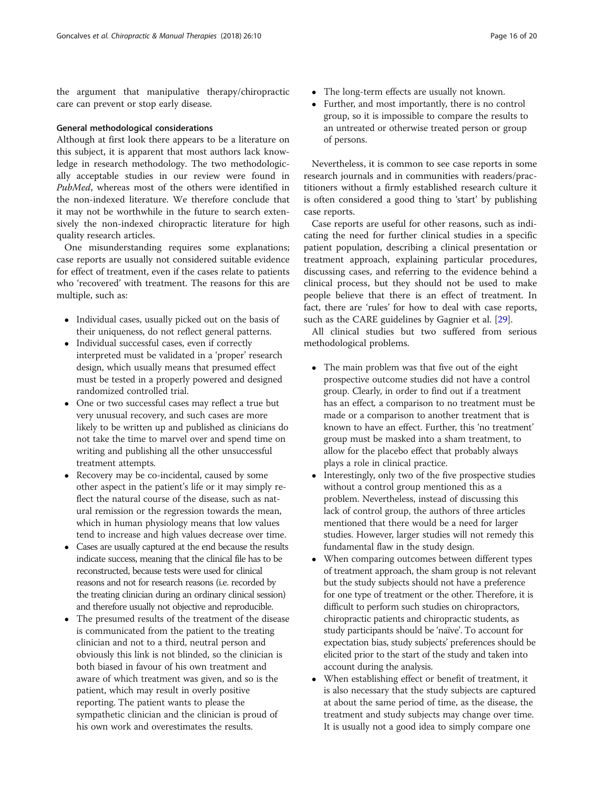the argument that manipulative therapy/chiropractic care can prevent or stop early disease.

#### General methodological considerations

Although at first look there appears to be a literature on this subject, it is apparent that most authors lack knowledge in research methodology. The two methodologically acceptable studies in our review were found in PubMed, whereas most of the others were identified in the non-indexed literature. We therefore conclude that it may not be worthwhile in the future to search extensively the non-indexed chiropractic literature for high quality research articles.

One misunderstanding requires some explanations; case reports are usually not considered suitable evidence for effect of treatment, even if the cases relate to patients who 'recovered' with treatment. The reasons for this are multiple, such as:

- Individual cases, usually picked out on the basis of their uniqueness, do not reflect general patterns.
- Individual successful cases, even if correctly interpreted must be validated in a 'proper' research design, which usually means that presumed effect must be tested in a properly powered and designed randomized controlled trial.
- One or two successful cases may reflect a true but very unusual recovery, and such cases are more likely to be written up and published as clinicians do not take the time to marvel over and spend time on writing and publishing all the other unsuccessful treatment attempts.
- Recovery may be co-incidental, caused by some other aspect in the patient's life or it may simply reflect the natural course of the disease, such as natural remission or the regression towards the mean, which in human physiology means that low values tend to increase and high values decrease over time.
- Cases are usually captured at the end because the results indicate success, meaning that the clinical file has to be reconstructed, because tests were used for clinical reasons and not for research reasons (i.e. recorded by the treating clinician during an ordinary clinical session) and therefore usually not objective and reproducible.
- The presumed results of the treatment of the disease is communicated from the patient to the treating clinician and not to a third, neutral person and obviously this link is not blinded, so the clinician is both biased in favour of his own treatment and aware of which treatment was given, and so is the patient, which may result in overly positive reporting. The patient wants to please the sympathetic clinician and the clinician is proud of his own work and overestimates the results.
- The long-term effects are usually not known.
- Further, and most importantly, there is no control group, so it is impossible to compare the results to an untreated or otherwise treated person or group of persons.

Nevertheless, it is common to see case reports in some research journals and in communities with readers/practitioners without a firmly established research culture it is often considered a good thing to 'start' by publishing case reports.

Case reports are useful for other reasons, such as indicating the need for further clinical studies in a specific patient population, describing a clinical presentation or treatment approach, explaining particular procedures, discussing cases, and referring to the evidence behind a clinical process, but they should not be used to make people believe that there is an effect of treatment. In fact, there are 'rules' for how to deal with case reports, such as the CARE guidelines by Gagnier et al. [\[29\]](#page-18-0).

All clinical studies but two suffered from serious methodological problems.

- The main problem was that five out of the eight prospective outcome studies did not have a control group. Clearly, in order to find out if a treatment has an effect, a comparison to no treatment must be made or a comparison to another treatment that is known to have an effect. Further, this 'no treatment' group must be masked into a sham treatment, to allow for the placebo effect that probably always plays a role in clinical practice.
- Interestingly, only two of the five prospective studies without a control group mentioned this as a problem. Nevertheless, instead of discussing this lack of control group, the authors of three articles mentioned that there would be a need for larger studies. However, larger studies will not remedy this fundamental flaw in the study design.
- When comparing outcomes between different types of treatment approach, the sham group is not relevant but the study subjects should not have a preference for one type of treatment or the other. Therefore, it is difficult to perform such studies on chiropractors, chiropractic patients and chiropractic students, as study participants should be 'naïve'. To account for expectation bias, study subjects' preferences should be elicited prior to the start of the study and taken into account during the analysis.
- When establishing effect or benefit of treatment, it is also necessary that the study subjects are captured at about the same period of time, as the disease, the treatment and study subjects may change over time. It is usually not a good idea to simply compare one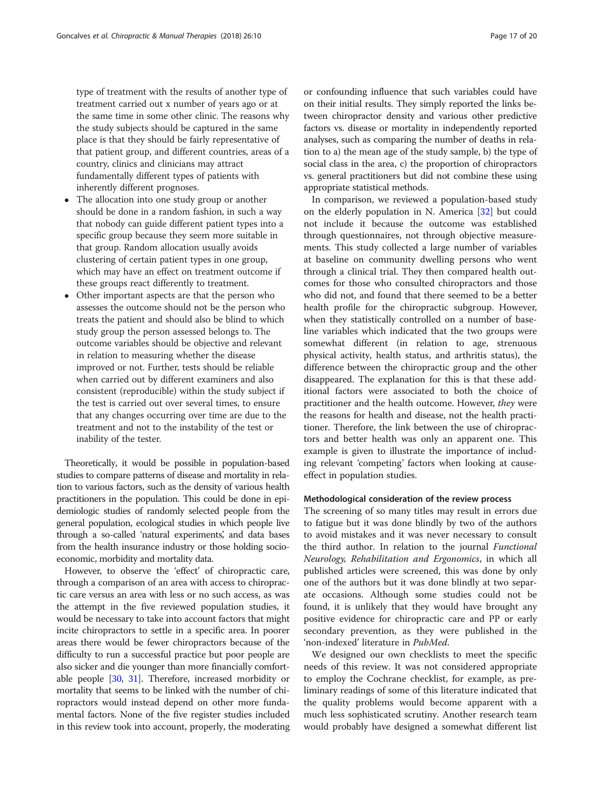type of treatment with the results of another type of treatment carried out x number of years ago or at the same time in some other clinic. The reasons why the study subjects should be captured in the same place is that they should be fairly representative of that patient group, and different countries, areas of a country, clinics and clinicians may attract fundamentally different types of patients with inherently different prognoses.

- The allocation into one study group or another should be done in a random fashion, in such a way that nobody can guide different patient types into a specific group because they seem more suitable in that group. Random allocation usually avoids clustering of certain patient types in one group, which may have an effect on treatment outcome if these groups react differently to treatment.
- Other important aspects are that the person who assesses the outcome should not be the person who treats the patient and should also be blind to which study group the person assessed belongs to. The outcome variables should be objective and relevant in relation to measuring whether the disease improved or not. Further, tests should be reliable when carried out by different examiners and also consistent (reproducible) within the study subject if the test is carried out over several times, to ensure that any changes occurring over time are due to the treatment and not to the instability of the test or inability of the tester.

Theoretically, it would be possible in population-based studies to compare patterns of disease and mortality in relation to various factors, such as the density of various health practitioners in the population. This could be done in epidemiologic studies of randomly selected people from the general population, ecological studies in which people live through a so-called 'natural experiments', and data bases from the health insurance industry or those holding socioeconomic, morbidity and mortality data.

However, to observe the 'effect' of chiropractic care, through a comparison of an area with access to chiropractic care versus an area with less or no such access, as was the attempt in the five reviewed population studies, it would be necessary to take into account factors that might incite chiropractors to settle in a specific area. In poorer areas there would be fewer chiropractors because of the difficulty to run a successful practice but poor people are also sicker and die younger than more financially comfortable people [\[30,](#page-19-0) [31\]](#page-19-0). Therefore, increased morbidity or mortality that seems to be linked with the number of chiropractors would instead depend on other more fundamental factors. None of the five register studies included in this review took into account, properly, the moderating or confounding influence that such variables could have on their initial results. They simply reported the links between chiropractor density and various other predictive factors vs. disease or mortality in independently reported analyses, such as comparing the number of deaths in relation to a) the mean age of the study sample, b) the type of social class in the area, c) the proportion of chiropractors vs. general practitioners but did not combine these using appropriate statistical methods.

In comparison, we reviewed a population-based study on the elderly population in N. America [[32\]](#page-19-0) but could not include it because the outcome was established through questionnaires, not through objective measurements. This study collected a large number of variables at baseline on community dwelling persons who went through a clinical trial. They then compared health outcomes for those who consulted chiropractors and those who did not, and found that there seemed to be a better health profile for the chiropractic subgroup. However, when they statistically controlled on a number of baseline variables which indicated that the two groups were somewhat different (in relation to age, strenuous physical activity, health status, and arthritis status), the difference between the chiropractic group and the other disappeared. The explanation for this is that these additional factors were associated to both the choice of practitioner and the health outcome. However, they were the reasons for health and disease, not the health practitioner. Therefore, the link between the use of chiropractors and better health was only an apparent one. This example is given to illustrate the importance of including relevant 'competing' factors when looking at causeeffect in population studies.

#### Methodological consideration of the review process

The screening of so many titles may result in errors due to fatigue but it was done blindly by two of the authors to avoid mistakes and it was never necessary to consult the third author. In relation to the journal *Functional* Neurology, Rehabilitation and Ergonomics, in which all published articles were screened, this was done by only one of the authors but it was done blindly at two separate occasions. Although some studies could not be found, it is unlikely that they would have brought any positive evidence for chiropractic care and PP or early secondary prevention, as they were published in the 'non-indexed' literature in PubMed.

We designed our own checklists to meet the specific needs of this review. It was not considered appropriate to employ the Cochrane checklist, for example, as preliminary readings of some of this literature indicated that the quality problems would become apparent with a much less sophisticated scrutiny. Another research team would probably have designed a somewhat different list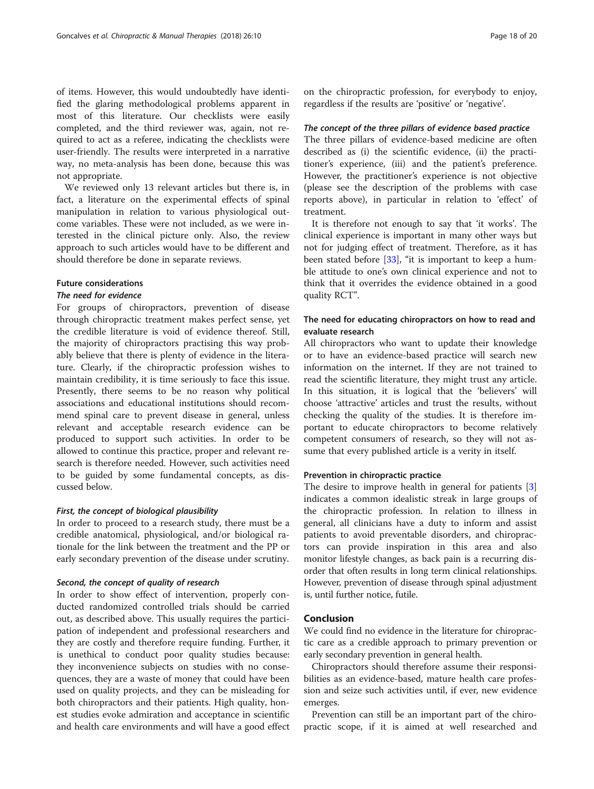of items. However, this would undoubtedly have identified the glaring methodological problems apparent in most of this literature. Our checklists were easily completed, and the third reviewer was, again, not required to act as a referee, indicating the checklists were user-friendly. The results were interpreted in a narrative way, no meta-analysis has been done, because this was not appropriate.

We reviewed only 13 relevant articles but there is, in fact, a literature on the experimental effects of spinal manipulation in relation to various physiological outcome variables. These were not included, as we were interested in the clinical picture only. Also, the review approach to such articles would have to be different and should therefore be done in separate reviews.

## Future considerations

## The need for evidence

For groups of chiropractors, prevention of disease through chiropractic treatment makes perfect sense, yet the credible literature is void of evidence thereof. Still, the majority of chiropractors practising this way probably believe that there is plenty of evidence in the literature. Clearly, if the chiropractic profession wishes to maintain credibility, it is time seriously to face this issue. Presently, there seems to be no reason why political associations and educational institutions should recommend spinal care to prevent disease in general, unless relevant and acceptable research evidence can be produced to support such activities. In order to be allowed to continue this practice, proper and relevant research is therefore needed. However, such activities need to be guided by some fundamental concepts, as discussed below.

## First, the concept of biological plausibility

In order to proceed to a research study, there must be a credible anatomical, physiological, and/or biological rationale for the link between the treatment and the PP or early secondary prevention of the disease under scrutiny.

#### Second, the concept of quality of research

In order to show effect of intervention, properly conducted randomized controlled trials should be carried out, as described above. This usually requires the participation of independent and professional researchers and they are costly and therefore require funding. Further, it is unethical to conduct poor quality studies because: they inconvenience subjects on studies with no consequences, they are a waste of money that could have been used on quality projects, and they can be misleading for both chiropractors and their patients. High quality, honest studies evoke admiration and acceptance in scientific and health care environments and will have a good effect on the chiropractic profession, for everybody to enjoy, regardless if the results are 'positive' or 'negative'.

#### The concept of the three pillars of evidence based practice

The three pillars of evidence-based medicine are often described as (i) the scientific evidence, (ii) the practitioner's experience, (iii) and the patient's preference. However, the practitioner's experience is not objective (please see the description of the problems with case reports above), in particular in relation to 'effect' of treatment.

It is therefore not enough to say that 'it works'. The clinical experience is important in many other ways but not for judging effect of treatment. Therefore, as it has been stated before [[33\]](#page-19-0), "it is important to keep a humble attitude to one's own clinical experience and not to think that it overrides the evidence obtained in a good quality RCT".

## The need for educating chiropractors on how to read and evaluate research

All chiropractors who want to update their knowledge or to have an evidence-based practice will search new information on the internet. If they are not trained to read the scientific literature, they might trust any article. In this situation, it is logical that the 'believers' will choose 'attractive' articles and trust the results, without checking the quality of the studies. It is therefore important to educate chiropractors to become relatively competent consumers of research, so they will not assume that every published article is a verity in itself.

#### Prevention in chiropractic practice

The desire to improve health in general for patients [\[3](#page-18-0)] indicates a common idealistic streak in large groups of the chiropractic profession. In relation to illness in general, all clinicians have a duty to inform and assist patients to avoid preventable disorders, and chiropractors can provide inspiration in this area and also monitor lifestyle changes, as back pain is a recurring disorder that often results in long term clinical relationships. However, prevention of disease through spinal adjustment is, until further notice, futile.

## Conclusion

We could find no evidence in the literature for chiropractic care as a credible approach to primary prevention or early secondary prevention in general health.

Chiropractors should therefore assume their responsibilities as an evidence-based, mature health care profession and seize such activities until, if ever, new evidence emerges.

Prevention can still be an important part of the chiropractic scope, if it is aimed at well researched and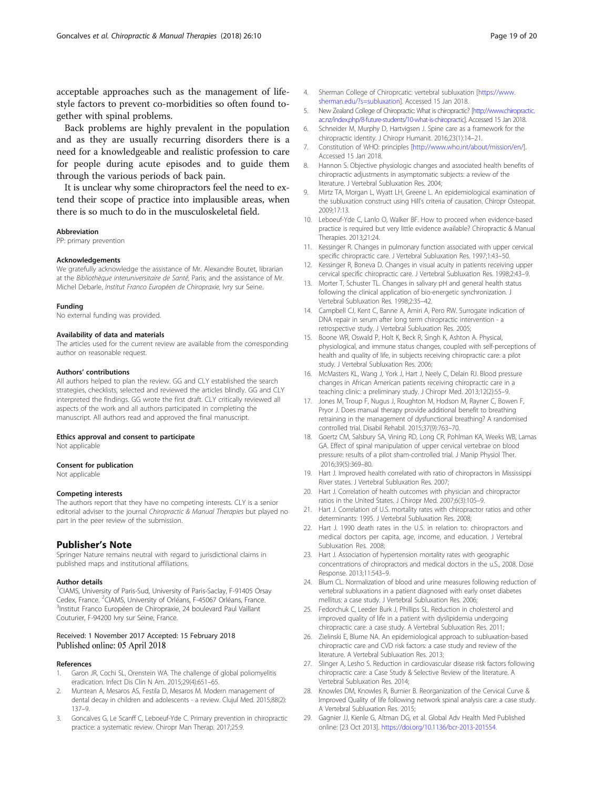<span id="page-18-0"></span>acceptable approaches such as the management of lifestyle factors to prevent co-morbidities so often found together with spinal problems.

Back problems are highly prevalent in the population and as they are usually recurring disorders there is a need for a knowledgeable and realistic profession to care for people during acute episodes and to guide them through the various periods of back pain.

It is unclear why some chiropractors feel the need to extend their scope of practice into implausible areas, when there is so much to do in the musculoskeletal field.

#### Abbreviation

PP: primary prevention

#### Acknowledgements

We gratefully acknowledge the assistance of Mr. Alexandre Boutet, librarian at the Bibliothèque interuniversitaire de Santé, Paris; and the assistance of Mr. Michel Debarle, Institut Franco Européen de Chiropraxie, Ivry sur Seine.

#### Funding

No external funding was provided.

#### Availability of data and materials

The articles used for the current review are available from the corresponding author on reasonable request.

#### Authors' contributions

All authors helped to plan the review. GG and CLY established the search strategies, checklists, selected and reviewed the articles blindly. GG and CLY interpreted the findings. GG wrote the first draft. CLY critically reviewed all aspects of the work and all authors participated in completing the manuscript. All authors read and approved the final manuscript.

#### Ethics approval and consent to participate

Not applicable

#### Consent for publication

Not applicable

#### Competing interests

The authors report that they have no competing interests. CLY is a senior editorial adviser to the journal Chiropractic & Manual Therapies but played no part in the peer review of the submission.

#### Publisher's Note

Springer Nature remains neutral with regard to jurisdictional claims in published maps and institutional affiliations.

#### Author details

<sup>1</sup>CIAMS, University of Paris-Sud, University of Paris-Saclay, F-91405 Orsay Cedex, France. <sup>2</sup>CIAMS, University of Orléans, F-45067 Orléans, France.<br><sup>3</sup>Institut France Européen de Chiropraxie. 24 boulevard Paul Vaillant. <sup>3</sup>Institut Franco Européen de Chiropraxie, 24 boulevard Paul Vaillant Couturier, F-94200 Ivry sur Seine, France.

#### Received: 1 November 2017 Accepted: 15 February 2018 Published online: 05 April 2018

#### References

- 1. Garon JR, Cochi SL, Orenstein WA. The challenge of global poliomyelitis eradication. Infect Dis Clin N Am. 2015;29(4):651–65.
- 2. Muntean A, Mesaros AS, Festila D, Mesaros M. Modern management of dental decay in children and adolescents - a review. Clujul Med. 2015;88(2): 137–9.
- 3. Goncalves G, Le Scanff C, Leboeuf-Yde C. Primary prevention in chiropractic practice: a systematic review. Chiropr Man Therap. 2017;25:9.
- 4. Sherman College of Chiroprcatic: vertebral subluxation [[https://www.](https://www.sherman.edu/?s=subluxation) [sherman.edu/?s=subluxation](https://www.sherman.edu/?s=subluxation)]. Accessed 15 Jan 2018.
- 5. New Zealand College of Chiropractic: What is chiropractic? [\[http://www.chiropractic.](http://www.chiropractic.ac.nz/index.php/8-future-students/10-what-is-chiropractic) [ac.nz/index.php/8-future-students/10-what-is-chiropractic\]](http://www.chiropractic.ac.nz/index.php/8-future-students/10-what-is-chiropractic). Accessed 15 Jan 2018.
- 6. Schneider M, Murphy D, Hartvigsen J. Spine care as a framework for the chiropractic identity. J Chiropr Humanit. 2016;23(1):14–21.
- 7. Constitution of WHO: principles [[http://www.who.int/about/mission/en/](http://www.who.int/about/mission/en)]. Accessed 15 Jan 2018.
- 8. Hannon S. Objective physiologic changes and associated health benefits of chiropractic adjustments in asymptomatic subjects: a review of the literature. J Vertebral Subluxation Res. 2004;
- 9. Mirtz TA, Morgan L, Wyatt LH, Greene L. An epidemiological examination of the subluxation construct using Hill's criteria of causation. Chiropr Osteopat. 2009;17:13.
- 10. Leboeuf-Yde C, Lanlo O, Walker BF. How to proceed when evidence-based practice is required but very little evidence available? Chiropractic & Manual Therapies. 2013;21:24.
- 11. Kessinger R. Changes in pulmonary function associated with upper cervical specific chiropractic care. J Vertebral Subluxation Res. 1997;1:43–50.
- 12. Kessinger R, Boneva D. Changes in visual acuity in patients receiving upper cervical specific chiropractic care. J Vertebral Subluxation Res. 1998;2:43–9.
- 13. Morter T, Schuster TL. Changes in salivary pH and general health status following the clinical application of bio-energetic synchronization. J Vertebral Subluxation Res. 1998;2:35–42.
- 14. Campbell CJ, Kent C, Banne A, Amiri A, Pero RW. Surrogate indication of DNA repair in serum after long term chiropractic intervention - a retrospective study. J Vertebral Subluxation Res. 2005;
- 15. Boone WR, Oswald P, Holt K, Beck R, Singh K, Ashton A. Physical, physiological, and immune status changes, coupled with self-perceptions of health and quality of life, in subjects receiving chiropractic care: a pilot study. J Vertebral Subluxation Res. 2006;
- 16. McMasters KL, Wang J, York J, Hart J, Neely C, Delain RJ. Blood pressure changes in African American patients receiving chiropractic care in a teaching clinic: a preliminary study. J Chiropr Med. 2013;12(2):55–9.
- 17. Jones M, Troup F, Nugus J, Roughton M, Hodson M, Rayner C, Bowen F, Pryor J. Does manual therapy provide additional benefit to breathing retraining in the management of dysfunctional breathing? A randomised controlled trial. Disabil Rehabil. 2015;37(9):763–70.
- 18. Goertz CM, Salsbury SA, Vining RD, Long CR, Pohlman KA, Weeks WB, Lamas GA. Effect of spinal manipulation of upper cervical vertebrae on blood pressure: results of a pilot sham-controlled trial. J Manip Physiol Ther. 2016;39(5):369–80.
- 19. Hart J. Improved health correlated with ratio of chiropractors in Mississippi River states. J Vertebral Subluxation Res. 2007;
- 20. Hart J. Correlation of health outcomes with physician and chiropractor ratios in the United States. J Chiropr Med. 2007;6(3):105–9.
- 21. Hart J. Correlation of U.S. mortality rates with chiropractor ratios and other determinants: 1995. J Vertebral Subluxation Res. 2008;
- 22. Hart J. 1990 death rates in the U.S. in relation to: chiropractors and medical doctors per capita, age, income, and education. J Vertebral Subluxation Res. 2008;
- 23. Hart J. Association of hypertension mortality rates with geographic concentrations of chiropractors and medical doctors in the u.S., 2008. Dose Response. 2013;11:543–9.
- 24. Blum CL. Normalization of blood and urine measures following reduction of vertebral subluxations in a patient diagnosed with early onset diabetes mellitus: a case study. J Vertebral Subluxation Res. 2006;
- 25. Fedorchuk C, Leeder Burk J, Phillips SL. Reduction in cholesterol and improved quality of life in a patient with dyslipidemia undergoing chiropractic care: a case study. A Vertebral Subluxation Res. 2011;
- 26. Zielinski E, Blume NA. An epidemiological approach to subluxation-based chiropractic care and CVD risk factors: a case study and review of the literature. A Vertebral Subluxation Res. 2013;
- 27. Slinger A, Lesho S. Reduction in cardiovascular disease risk factors following chiropractic care: a Case Study & Selective Review of the literature. A Vertebral Subluxation Res. 2014;
- 28. Knowles DM, Knowles R, Burnier B. Reorganization of the Cervical Curve & Improved Quality of life following network spinal analysis care: a case study. A Vertebral Subluxation Res. 2015;
- 29. Gagnier JJ, Kienle G, Altman DG, et al. Global Adv Health Med Published online: [23 Oct 2013]. <https://doi.org/10.1136/bcr-2013-201554>.